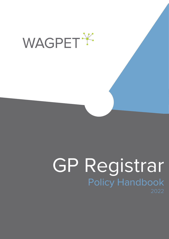

# GP Registrar Policy Handbook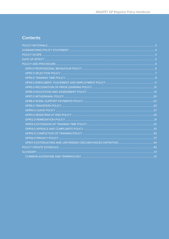# **Contents**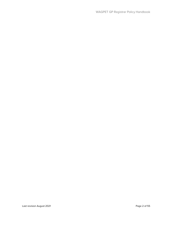WAGPET GP Registrar Policy Handbook

Last revision August 2021 **Page 2 of 55**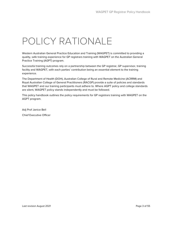# <span id="page-3-0"></span>POLICY RATIONALE

Western Australian General Practice Education and Training (WAGPET) is committed to providing a quality, safe training experience for GP registrars training with WAGPET on the Australian General Practice Training (AGPT) program.

Successful training outcomes rely on a partnership between the GP registrar, GP supervisor, training facility and WAGPET, with each parties' contribution being an essential element to the training experience.

The Department of Health (DOH), Australian College of Rural and Remote Medicine (ACRRM) and Royal Australian College of General Practitioners (RACGP) provide a suite of policies and standards that WAGPET and our training participants must adhere to. Where AGPT policy and college standards are silent, WAGPET policy stands independently and must be followed.

This policy handbook outlines the policy requirements for GP registrars training with WAGPET on the AGPT program.

Adj Prof Janice Bell

Chief Executive Officer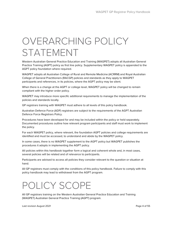# <span id="page-4-0"></span>OVERARCHING POLICY STATEMENT

Western Australian General Practice Education and Training (WAGPET) adopts all Australian General Practice Training (AGPT) policy as first line policy. Supplementary WAGPET policy is appended to the AGPT policy foundation where required.

WAGPET adopts all Australian College of Rural and Remote Medicine (ACRRM) and Royal Australian College of General Practitioners (RACGP) policies and standards as they apply to WAGPET participants and references, in its policies, where the AGPT policy may be silent.

When there is a change at the AGPT or college level, WAGPET policy will be changed to remain compliant with the higher order policy.

WAGPET may introduce more specific additional requirements to manage the implementation of the policies and standards locally.

GP registrars training with WAGPET must adhere to all levels of this policy handbook.

Australian Defence Force (ADF) registrars are subject to the requirements of the AGPT Australian Defence Force Registrars Policy.

Procedures have been developed for and may be included within the policy or held separately. Documented procedures outline how relevant program participants and staff must work to implement the policy.

For each WAGPET policy, where relevant, the foundation AGPT policies and college requirements are identified and must be accessed, to understand and abide by the WAGPET policy.

In some cases, there is no WAGPET supplement to the AGPT policy but WAGPET publishes the procedures it adopts in implementing the AGPT policy.

All policies within this handbook together form a logical and coherent whole and, in most cases, several policies will be related and of relevance to participants.

Participants are advised to access all policies they consider relevant to the question or situation at hand.

All GP registrars must comply with the conditions of this policy handbook. Failure to comply with this policy handbook may lead to withdrawal from the AGPT program.

# <span id="page-4-1"></span>POLICY SCOPE

All GP registrars training on the Western Australian General Practice Education and Training (WAGPET) Australian General Practice Training (AGPT) program.

Last revision August 2021 **Page 4 of 55** and the control of the control of the control of the control of the control of the control of the control of the control of the control of the control of the control of the control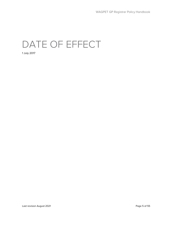# <span id="page-5-0"></span>DATE OF EFFECT

<span id="page-5-1"></span>1 July 2017

Last revision August 2021 2021 2021 2012 12:30 2012 2013 2014 2015 2016 2017 2018 2019 2019 2019 2019 2019 201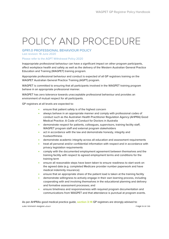# POLICY AND PROCEDURE

#### <span id="page-6-0"></span>**GPR1.0 PROFESSIONAL BEHAVIOUR POLICY**

#### Last revision: 18 June 2020

#### Please refer to the AGPT Withdrawal Policy 2020

Inappropriate professional behaviour can have a significant impact on other program participants, affect workplace health and safety as well as the delivery of the Western Australian General Practice Education and Training (WAGPET) training program.

Appropriate professional behaviour and conduct is expected of all GP registrars training on the WAGPET Australian General Practice Training (AGPT) program.

WAGPET is committed to ensuring that all participants involved in the WAGPET training program behave in an appropriate professional manner.

WAGPET has zero tolerance towards unacceptable professional behaviour and provides an environment of mutual respect for all participants.

GP registrars at all levels are expected to:

- ensure that patient safety is of the highest concern
- always behave in an appropriate manner and comply with professional codes of conduct such as the Australian Health Practitioner Regulation Agency (AHPRA) Good Medical Practice: A Code of Conduct for Doctors in Australia
- demonstrate respect for patients, colleagues, supervisors, training facility staff, WAGPET program staff and external program stakeholders
- act in accordance with the law and demonstrate honesty, integrity and trustworthiness
- demonstrate academic integrity across all education and assessment requirements
- treat all personal and/or confidential information with respect and in accordance with privacy legislation requirements
- comply with the documented employment agreement between themselves and the training facility with respect to agreed employment terms and conditions for the training term
- ensure all reasonable steps have been taken to ensure readiness to start work on the agreed date (e.g. completed Medicare provider number paperwork and have medical indemnity insurance)
- ensure that an appropriate share of the patient load is taken at the training facility
- demonstrate willingness to actively engage in their own learning process, including cooperating with and involving themselves in the educational planning and delivery and formative assessment processes; and
- ensure timeliness and responsiveness with required program documentation and communications from WAGPET and that attendance is punctual at program events.

Last revision August 2021 Page 6 of 55 As per AHPRAs good medical practice guide, **[section 3.14](https://www.medicalboard.gov.au/Codes-Guidelines-Policies/Code-of-conduct.aspx#:%7E:text=It%20sets%20out%20the%20principles,medical%20profession%20and%20the%20community.)** GP registrars are strongly advised to: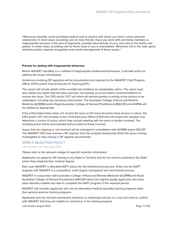"Whenever possible, avoid providing medical care to anyone with whom you have a close personal relationship. In most cases, providing care to close friends, those you work with and family members is inappropriate because of the lack of objectivity, possible discontinuity of care, and risks to the doctor and patient. In some cases, providing care to those close to you is unavoidable. Whenever this is the case, good medical practice requires recognition and careful management of these issues."

#### **Process for dealing with inappropriate behaviour**

Where WAGPET identifies or is notified of inappropriate professional behaviour, it will take action to address the issues immediately.

Incidences involving GP registrars will be documented and reported to the WAGPET Chief Program Officer (CPO) and/or Clinical Director of Training (CDT).

The report will include details of the event(s) and evidence to substantiate claims. The report must also outline any action that has been planned, has already occurred and/or recommendations to resolve the issue. The CPO and/or CDT will inform all relevant parties in writing of the actions to be undertaken including any necessary intervention. The Australian College of Rural and Remote Medicine (ACRRM) and/or Royal Australian College of General Practitioners (RACGP) and AHPRA will be notified as appropriate.

If the action/intervention does not resolve the issue or the issue becomes more serious in nature, the CPO and/or CDT will escalate to the Chief Executive Officer (CEO) who will assess the situation and determine a course of action, which may include meeting with the party or parties involved. The resulting action will be documented and provided to those involved.

Issues that are ongoing or not resolved will be managed in consultation with ACRRM and/or RACGP The WAGPET CEO may remove a GP registrar from the program temporarily whilst the issue is being investigated or may remove a GP registrar permanently.

# <span id="page-7-0"></span>**GPR2.0 SELECTION POLICY**

#### Last revision: 25 February 2021

Please refer to the relevant college for specific selection information.

Applicants can apply for GP training in any State or Territory and do not need to preference the State where they obtained their medical degree.

Each year WAGPET is allocated AGPT places for the following training year. Entry into the AGPT program with WAGPET is a competitive, multi staged, transparent and merit-based process.

WAGPET in conjunction with Australian College of Rural and Remote Medicine (ACRRM) and Royal Australian College of General Practitioners (RACGP) select the highest quality applicants who have been deemed suitable and able to complete the AGPT program in the required period.

WAGPET will consider applicants who are on alternative medical specialty training programs other than general practice training programs.

Applicants who do not have permanent residency or citizenship and are on a visa will need to confirm with WAGPET that they are eligible to commence in the training program.

Last revision August 2021 **Page 7 of 55** and 2021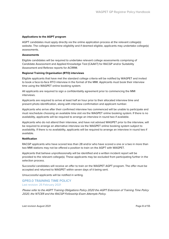#### **Applications to the AGPT program**

AGPT candidates must apply directly via the online application process at the relevant college(s) website. The colleges determine eligibility and if deemed eligible, applicants may undertake college(s) assessments.

#### **Assessments**

Eligible candidates will be required to undertake relevant college assessments comprising of Candidate Assessment and Applied Knowledge Test (CAAKT) for RACGP and/or Suitability Assessment and Referee reports for ACRRM.

#### **Regional Training Organisation (RTO) interviews**

Eligible applicants that have met the standard college criteria will be notified by WAGPET and invited to book a face-to-face RTO interview in the format of the MMI. Applicants must book their interview time using the WAGPET online booking system.

All applicants are required to sign a confidentiality agreement prior to commencing the MMI interviews.

Applicants are required to arrive at least half an hour prior to their allocated interview time and present photo identification, along with interview confirmation and applicant number.

Applicants who arrive after their confirmed interview has commenced will be unable to participate and must reschedule choosing an available time slot via the WAGPET online booking system. If there is no availability, applicants will be required to arrange an interview in round two if available.

Applicants who do not attend their interview, and have not advised WAGPET prior to the interview, will be required to arrange an alternative interview via the WAGPET online booking system subject to availability. If there is no availability, applicants will be required to arrange an interview in round two if available.

#### **Notification**

RACGP applicants who have scored less than 28 and/or who have scored a one or a two in more than two MMI stations may not be offered a position to train on the AGPT with WAGPET.

Applicants that behave unprofessionally will be identified and a written incident report will be provided to the relevant college(s). These applicants may be excluded from participating further in the selection process.

Successful candidates will receive an offer to train on the WAGPET AGPT program. The offer must be accepted and returned to WAGPET within seven days of it being sent.

Unsuccessful applicants will be notified in writing.

# <span id="page-8-0"></span>**GPR3.0 TRAINING TIME POLICY**

Last revision: 25 February 2021

Please refer to the AGPT Training Obligations Policy 2020 the AGPT Extension of Training Time Policy 2020, the NTCER and the RACGP Fellowship Exam Attempts Policy.

Last revision August 2021 **Page 8 of 55** and 2021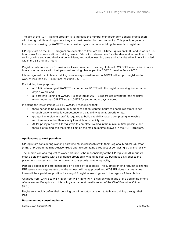The aim of the AGPT training program is to increase the number of independent general practitioners with the right skills working where they are most needed by the community. This principle governs the decision making by WAGPET when considering and accommodating the needs of registrars.

GP registrars on the AGPT program are expected to train at 1.0 Full-Time Equivalent (FTE) and to work a 38 hour week for core vocational training terms. Education release time for attendance at in practice, in the region, online and central education activities, in-practice teaching time and administrative time is included within the 38 ordinary hours.

Registrars who are on an Extension for Assessment term may negotiate with WAGPET a reduction in work hours in accordance with their personal learning plan as per the AGPT Extension Policy 2020.

It is recognised that full-time training is not always possible and WAGPET will support registrars to work at less than 1.0 FTE but not less than 0.5 FTE.

For training time purposes:

- all full-time training at WAGPET is counted as 1.0 FTE with the registrar working four or more days a week, and
- all part-time training at WAGPET is counted as 0.5 FTE regardless of whether the registrar works more than 0.5 FTE up to 1.0 FTE for two or more days a week.

In setting the lower limit of 0.5 FTE WAGPET recognises that:

- there needs to be a minimum number of patient contact hours to enable registrars to see enough patients to build competence and capability at an appropriate rate,
- greater immersion in a craft is required to build capability toward completing fellowship requirements, rather than simply to maintain capability, and
- AGPT policy requires GP registrars to complete training in the minimum time possible and there is a training cap that sets a limit on the maximum time allowed in the AGPT program.

#### **Applications to work part-time**

GP registrars considering working part-time must discuss this with their Regional Medical Educator (RME) or Program Training Advisor (PTA) prior to submitting a request or contacting a training facility.

The submission of a request to work part-time is the responsibility of the GP registrar. All requests must be clearly stated with all evidence provided in writing at least 20 business days prior to the placement process and prior to signing a contract with a training facility.

Part-time applications are considered on a case-by-case basis. The submission of a request to change FTE status is not a guarantee that the request will be approved and WAGPET does not guarantee there will be a part-time position for every GP registrar seeking one in the region of their choice.

Changes from 1.0 FTE to 0.5 FTE or from 0.5 FTE to 1.0 FTE can only be made at the beginning or end of a semester. Exceptions to this policy are made at the discretion of the Chief Executive Officer (CEO).

Registrars should confirm their ongoing part-time status or return to full-time training through their PTA.

#### **Recommended consulting hours**

Last revision August 2021 **Page 9 of 55** and the extent of the extent of the extent of the extent of the extent of the extent of the extent of the extent of the extent of the extent of the extent of the extent of the exten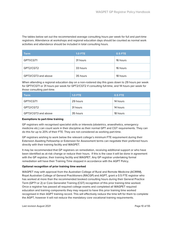The tables below set out the recommended average consulting hours per week for full and part-time registrars. Attendance at workshops and regional education days should be counted as normal work activities and attendance should be included in total consulting hours.

| <b>Term</b>         | <b>1.0 FTE</b> | <b>0.5 FTE</b> |
|---------------------|----------------|----------------|
| GPT1/CGT1           | 31 hours       | 16 hours       |
| GPT2/CGT2           | 33 hours       | 16 hours       |
| GPT3/CGT3 and above | 35 hours       | 18 hours       |

When attending a regional education day on a non-rostered day this goes down to 29 hours per week for GPT1/CGT1 or 31 hours per week for GPT2/CGT2 if consulting full-time, and 14 hours per week for those consulting part-time.

| <b>Term</b>         | $1.0$ FTE | <b>0.5 FTE</b> |
|---------------------|-----------|----------------|
| GPT1/CGT1           | 29 hours  | 14 hours       |
| GPT2/CGT2           | 31 hours  | 14 hours       |
| GPT3/CGT3 and above | 35 hours  | 18 hours       |

#### **Exemptions to part-time training**

GP registrars with recognised specialist skills or interests (obstetrics, anaesthetics, emergency medicine etc.) can count work in their discipline as their normal GPT and CGT requirements. They can do this for up to 20% of their FTE. They are not considered as working part-time.

GP registrars wishing to work below the relevant college's minimum FTE requirement during their Extension Awaiting Fellowship or Extension for Assessment terms can negotiate their preferred hours directly with their training facility and WAGPET.

It may be recommended that GP registrars on remediation, receiving additional support or who have been identified as at-risk change or reduce their hours. If this is the case it will be done in agreement with the GP registrar, their training facility and WAGPET. Any GP registrar undertaking formal remediation will have their Training Time stopped in accordance with the AGPT Policy.

#### **Optional recognition of prior training time worked**

WAGPET may with approval from the Australian College of Rural and Remote Medicine (ACRRM), Royal Australian College of General Practitioners (RACGP) and AGPT, grant a 0.5 FTE registrar who has worked at more than the recommended booked consulting hours during their General Practice Term (GPT1 or 2) or Core Generalist Training (CGT) recognition of this prior training time worked. Once a registrar has passed all required college exams and completed all WAGPET required education and training components they may request to have this prior training time worked recognised in their AGPT training record. This will effectively reduce the time left for them to complete the AGPT, however it will not reduce the mandatory core vocational training requirements.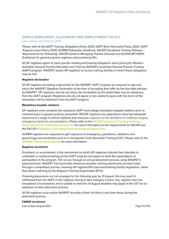### <span id="page-11-0"></span>**GPR4.0 ENROLMENT, PLACEMENT AND EMPLOYMENT POLICY**

Last revision: 22 February 2021

Please refer to the AGPT Training Obligations Policy 2020, AGPT Rural Generalist Policy 2020, AGPT Program Leave Policy 2020, ACRRM Fellowship Handbook, RACGP Vocational Training Pathway – Requirements for Fellowship, RACGP Guide to Managing Practice Diversity and the RACGP FARGP Guidelines for general practice registrars and practising GPs.

All GP registrars agree to meet specific working and training obligations when joining the Western Australian General Practice Education and Training (WAGPET) Australian General Practice Training (AGPT) program. WAGPET assists GP registrars to access training facilities in which these obligations may be met.

#### **Registrar declaration**

All GP registrars accepting a placement on the WAGPET AGPT program are required to sign and return the WAGPET Registrar Declaration at the time of accepting their offer by the due date advised by WAGPET. GP registrars who do not return the declaration by the stated date may be withdrawn from the AGPT program. Registrars who do not agree or are unable to agree with the terms of the declaration will be withdrawn from the AGPT program.

#### **Mandatory hospital rotations**

GP registrars must complete the respective AGPT and college mandatory hospital rotations prior to commencing in a general practice placement. RACGP registrars are expected to have had adequate exposure to a range of clinical rotations and adequate exposure to the discipline of medicine, surgery, emergency medicine and paediatrics. Please refer to the **[RACGP Vocational Training Pathway –](https://www.racgp.org.au/education/registrars/fellowship-pathways/policy-framework/policies/vocational-training-requirements-for-fellowship) [Requirements for Fellowship Section 5.2](https://www.racgp.org.au/education/registrars/fellowship-pathways/policy-framework/policies/vocational-training-requirements-for-fellowship)** for more information on the requirements for RACGP and the RACGP's **[Paediatric Term Requirements Guidance Document](https://www.racgp.org.au/education/registrars/fellowship-pathways/policy-framework/guidance-documents/paediatric-term-requirement)**.

ACRRM registrars are expected to gain exposure to emergency, paediatrics, obstetrics and gynecology and anesthetics prior to or during their Core Generalist Training (CGT). Please refer to the **[ACRRM Fellowship Handbook](https://www.acrrm.org.au/docs/default-source/all-files/handbook-fellowship-training.pdf?sfvrsn=bdb27590_18)** for more information.

#### **Registrar enrolment**

Enrolment, or re-enrolment, is the mechanism by which GP registrars indicate their intention to undertake or continue training on the AGPT program and agree to meet the expectations of participation in the program. This occurs through an annual placement process using WAGPET's placement tool. WAGPET has found that, wherever possible, training placements are best made through a competitive process, involving GP registrar/GP supervisor/training facility negotiation, rather than direct matching by the Regional Training Organisation (RTO).

If training placements are not arranged for the following year by 31 August, this may result in withdrawal from the AGPT or the registrar having to take Category 2 leave. Any registrar who has exceptional circumstances and is unable to meet the 31 August deadline may apply to the CDT for an extension to their placement process.

All GP registrars must advise WAGPET annually of their full time or part time status during the placement process.

#### **FARGP enrolment**

Last revision August 2021 **Page 11 of 55** and 2021 **Page 11 of 55** and 2021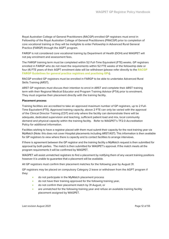Royal Australian College of General Practitioners (RACGP) enrolled GP registrars must enrol in Fellowship of the Royal Australian College of General Practitioners (FRACGP) prior to completion of core vocational training or they will be ineligible to enter Fellowship in Advanced Rural General Practice (FARGP) through the AGPT program.

FARGP is not considered core vocational training by Department of Health (DOH) and WAGPET will not pay enrolment and assessment fees.

The FARGP training term must be completed within 52 Full-Time Equivalent (FTE) weeks. GP registrars enrolled in FARGP who do not meet the requirements within 52 FTE weeks of the fellowship date or four (4) FTE years of their AGPT enrolment date will be withdrawn (please refer directly to the **[RACGP](https://www.racgp.org.au/FSDEDEV/media/documents/Education/FARGP/FARGP-Guidelines-for-general-practice-registrars-and-practicing-GP.pdf)  [FARGP Guidelines for general practice registrars and practising GPs](https://www.racgp.org.au/FSDEDEV/media/documents/Education/FARGP/FARGP-Guidelines-for-general-practice-registrars-and-practicing-GP.pdf)**).

RACGP enrolled GP registrars must be enrolled in FARGP to be able to undertake Advanced Rural Skills Training (ARST).

ARST GP registrars must discuss their intention to enrol in ARST and complete their ARST training term with their Regional Medical Educator and Program Training Advisor (PTA) prior to enrolment. They must organise their placement directly with the training facility.

#### **Placement process**

Training facilities are accredited to take an approved maximum number of GP registrars, up to 2 Full-Time Equivalent (FTE). Approved training capacity, above 2 FTE can only be varied with the approval of the Clinical Director Training (CDT) and only where the facility can demonstrate there will be adequate, dedicated supervision and teaching, sufficient patient load and mix, local community demand and physical capacity within the training facility. Refer to WAGPET's TF2.0 Accreditation Policy for additional information.

Facilities wishing to have a registrar placed with them must submit their capacity for the next training year via MyMatch (Note: this does not cover Hospital placements including ARST/AST). This information is then available for GP registrars to view where there is capacity and to contact facilities to arrange interviews.

If there is agreement between the GP registrar and the training facility a MyMatch request is then submitted for approval by both parties. The match is then submitted for WAGPET's approval. If the match meets all the program requirements it will be confirmed by WAGPET.

WAGPET will assist unmatched registrars to find a placement by notifying them of any vacant training positions however it is unable to guarantee that a placement will be available.

All GP registrars must confirm their placement matches for the following year by August 31.

GP registrars may be placed on compulsory Category 2 leave or withdrawn from the AGPT program if they:

- do not participate in the MyMatch placement process
- do not have their training approved for the following training year,
- do not confirm their placement match by 31 August, or
- are unmatched for the following training year and refuse an available training facility placement assigned by WAGPET.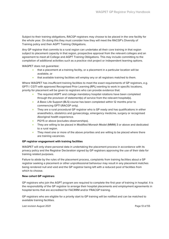Subject to their training obligations, RACGP registrars may choose to be placed in the one facility for the whole year. On doing this they must consider how they will meet the RACGP's Diversity of Training policy and their AGPT Training Obligations.

Any GP registrar that commits to a rural region can undertake all their core training in that region subject to placement capacity in that region, prospective approval from the relevant colleges and an agreement to meet all College and AGPT Training Obligations. This may include committing to the completion of additional activities such as a practice visit project or independent learning options.

WAGPET does not guarantee:

- that a placement at a training facility, or a placement in a particular location will be available, or
- that available training facilities will employ any or all registrars matched to them.

Where WAGPET has insufficient training facilities to meet the exact requirements of GP registrars, e.g. GPT1 / CGT1 with approved Recognised Prior Learning (RPL) wanting to work in specific locations, priority for placement will be given to registrars who can provide evidence that:

- The required AGPT and college mandatory hospital rotations have been completed through the provision of statement(s) of service from the relevant hospital(s).
- A Basic Life Support (BLS) course has been completed within 12 months prior to commencing GPT1 (RACGP only).
- They are a rural procedural GP registrar who is GP ready and has qualifications in either anaesthetics, obstetrics and gynaecology, emergency medicine, surgery or recognised Aboriginal health experience.
- PGY5 or above (excludes observerships).
- They are willing to be placed in Modified Monash Model (MMM) 3 or above and dedicated to a rural region.
- They meet one or more of the above priorities and are willing to be placed where there are training vacancies.

#### **GP registrar engagement with training facilities**

WAGPET will only share personal data in undertaking the placement process in accordance with its privacy policy and the Registrar Declaration signed by GP registrars approving the use of their data for training related purposes.

Failure to abide by the rules of the placement process, complaints from training facilities about a GP registrar seeking a placement or other unprofessional behaviour may result in any placement matches being rendered null and void and the GP registrar being left with a reduced pool of facilities from which to choose.

#### **New cohort GP registrars**

GP registrars who join the AGPT program are required to complete the first year of training in hospital. It is the responsibility of the GP registrar to arrange their hospital placements and employment agreements in hospital terms that are accredited for FACRRM and/or FRACGP training.

GP registrars who are eligible for a priority start to GP training will be notified and can be matched to available training facilities.

Last revision August 2021 Page 13 of 55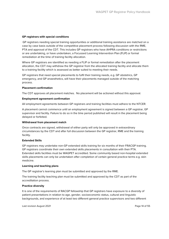#### **GP registrars with special conditions**

GP registrars needing special training opportunities or additional training assistance are matched on a case by case basis outside of the competitive placement process following discussion with the RME, PTA and approval of the CDT. This includes GP registrars who have AHPRA conditions or restrictions or are undertaking, or have undertaken, a Focussed Learning Intervention Plan (FLIP) or formal remediation at the time of training facility allocation.

Where GP registrars are identified as needing a FLIP or formal remediation after the placement allocation, the CDT may withdraw the GP registrar from the allocated training facility and allocate them to a training facility which is assessed as better suited to meeting their needs.

GP registrars that need special placements to fulfil their training needs, e.g. GP obstetrics, GP emergency, and GP anaesthetics, will have their placements managed outside of the matching process.

#### **Placement confirmation**

The CDT approves all placement matches. No placement will be actioned without this approval.

#### **Employment agreement confirmation**

All employment agreements between GP registrars and training facilities must adhere to the NTCER.

A placement cannot commence until an employment agreement is signed between a GP registrar, GP supervisor and facility. Failure to do so in the time period published will result in the placement being delayed or forfeited.

#### **Withdrawal from placement match**

Once contracts are signed, withdrawal of either party will only be approved in extraordinary circumstances by the CDT and after full discussion between the GP registrar, RME and the training facility.

#### **Extended Skills**

GP registrars may undertake non-GP extended skills training for six months of their FRACGP training. GP registrars coordinate their own extended skills placements in consultation with their PTA. Extended skills facilities must be WAGPET accredited. Some community based non-hospital extended skills placements can only be undertaken after completion of certain general practice terms e.g. skin medicine.

#### **Learning and teaching plans**

The GP registrar's learning plan must be submitted and approved by the RME.

The training facility teaching plan must be submitted and approved by the CDT as part of the accreditation process.

#### **Practice diversity**

It is one of the requirements of RACGP fellowship that GP registrars have exposure to a diversity of patient presentations in relation to age, gender, socioeconomic status, cultural and linguistic backgrounds, and experience of at least two different general practice supervisors and two different

Last revision August 2021 **Page 14 of 55** and 2021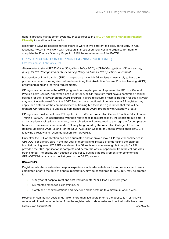general practice management systems. Please refer to the **[RACGP Guide to Managing Practice](https://www.racgp.org.au/education/registrars/fellowship-pathways/policy-framework/guidance-documents/a-guide-to-managing-practice-diversity)  [Diversity](https://www.racgp.org.au/education/registrars/fellowship-pathways/policy-framework/guidance-documents/a-guide-to-managing-practice-diversity)** for additional information.

It may not always be possible for registrars to work in two different facilities, particularly in rural locations. WAGPET will work with registrars in these circumstances and organise for them to complete the Practice Diversity Project to fulfill the requirements of the RACGP.

#### <span id="page-15-0"></span>**GPR5.0 RECOGNITION OF PRIOR LEARNING POLICY (RPL)** Last revision: 25 February 2021

#### Please refer to the AGPT Training Obligations Policy 2020, ACRRM Recognition of Prior Learning policy, RACGP Recognition of Prior Learning Policy and the RACGP guidance document.

<span id="page-15-1"></span>Recognition of Prior Learning (RPL) is the process by which GP registrars may apply to have their previous experience recognised when determining their Australian General Practice Training (AGPT) program training and learning requirements.

GP registrars commence the AGPT program in a hospital year or if approved for RPL in a General Practice Term . As RPL approval is not guaranteed, all GP registrars must have a confirmed hospital position for their first year on the AGPT program. Failure to secure a hospital position for this first year may result in withdrawal from the AGPT Program. In exceptional circumstances a GP registrar may apply for a deferral of the commencement of training but there is no guarantee that this will be granted. GP registrars are unable to commence on the AGPT program with Category 2 leave.

GP registrars must submit their RPL application to Western Australian General Practice Education and Training (WAGPET) in accordance with their relevant college's process by the specified due date. If an incomplete application is received, the application will be returned to the registrar for completion before an assessment can be made. RPL may be granted by the Australian College of Rural and Remote Medicine (ACRRM) and / or the Royal Australian College of General Practitioners (RACGP) following a review and recommendation from WAGPET.

Only after the RPL application has been submitted and approved may a GP registrar commence in GPT1/CGT1 or primary care in the first year of their training, instead of undertaking the planned hospital training year. WAGPET can determine GP registrars who are eligible to apply for RPL, provided their RPL application is complete and before the official paperwork from the colleges has been signed. The priority start section of this policy outlines the requirements for commencing GPT1/CGT1/Primary care in the first year on the AGPT program.

#### **RACGP RPL**

Registrars who have extensive hospital experience with adequate breadth and recency, and terms completed prior to the date of general registration, may be considered for RPL. RPL may be granted for:

- One year of hospital rotations post Postgraduate Year 1 (PGY1) or intern year.
- Six months extended skills training, or
- Combined hospital rotations and extended skills posts up to a maximum of one year.

Last revision August 2021 Page 15 of 55 Hospital or community posts undertaken more than five years prior to the application for RPL will require additional documentation from the registrar which demonstrates how their skills have been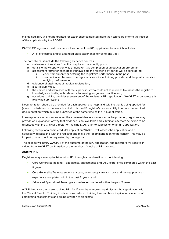maintained. RPL will not be granted for experience completed more than ten years prior to the receipt of the application by the RACGP.

RACGP GP registrars must complete all sections of the RPL application form which includes:

• A list of Hospital and/or Extended Skills experience for up to one year.

The portfolio must include the following evidence sources:

- a. statements of services from the hospital or community posts,
- b. details of how supervision was undertaken (via completion of an education proforma),
- c. assessment forms for each post, if unavailable the following evidence will be considered:
	- i. letter from supervisor detailing the registrar's performance in the post,
	- ii. communication between the registrar's vocational training provider and the post supervisor verifying performance,
- d. evidence of attainment of medical registration,
- e. a curriculum vitae,
- f. the names and addresses of three supervisors who could act as referees to discuss the registrar's knowledge and skills, with reference to training for general practice and,
- g. vocational training provider assessment of the registrar's RPL application. (WAGPET to complete this following submission).

Documentation should be provided for each appropriate hospital discipline that is being applied for (even if undertaken in the same hospital). It is the GP registrar's responsibility to obtain the required documentation which must be submitted at the same time as the RPL application.

In exceptional circumstances when the above evidence sources cannot be provided, registrars may provide an explanation of why that evidence is not available and submit an alternate selection to be discussed with the Clinical Director of Training (CDT) prior to submission of an RPL application.

Following receipt of a completed RPL application WAGPET will assess the application and if necessary, discuss this with the registrar and make the recommendation to the censor. This may be for part of or all the time requested by the registrar.

The college will notify WAGPET of the outcome of the RPL application, and registrars will receive in writing from WAGPET confirmation of the number of weeks of RPL granted.

#### **ACRRM RPL**

Registrars may claim up to 24 months RPL through a combination of the following:

- Core Generalist Training paediatrics, anaesthetics and O&G experience completed within the past 5 years,
- Core Generalist Training, secondary care, emergency care and rural and remote practice
	- experience completed within the past 2 years, and
- Advanced Specialised Training experience completed within the past 2 years

ACRRM registrars who are seeking RPL for 12 months or more should discuss their application with the Clinical Director Training in advance as reduced training time can have implications in terms of completing assessments and timing of when to sit exams.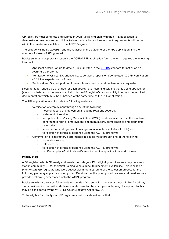GP registrars must complete and submit an ACRRM training plan with their RPL application to demonstrate how outstanding clinical training, education and assessment requirements will be met within the timeframe available on the AGPT Program.

The college will notify WAGPET and the registrar of the outcome of the RPL application and the number of weeks of RPL granted.

Registrars must complete and submit the ACRRM RPL application form, the form requires the following information:

- Applicant details –an up to date curriculum vitae in the [AHPRA](https://www.ahpra.gov.au/Registration/Registration-Process/Standard-Format-for-Curriculum-Vitae.aspx) standard format or on an ACRRM CV proforma
- Verification of Clinical Experience i.e. supervisors reports or a completed ACCRM verification of Clinical experience proforma
- Section 4 and 5 completion of the applicant checklist and declaration as requested.

Documentation should be provided for each appropriate hospital discipline that is being applied for (even if undertaken in the same hospital). It is the GP registrar's responsibility to obtain the required documentation which must be submitted at the same time as the RPL application.

The RPL application must include the following evidence:

- Verification of employment through one of the following:
	- hospital record of employment including rotations covered,
	- statement of service,
	- for applicants in Visiting Medical Officer (VMO) positions, a letter from the employer confirming length of employment, patient numbers, demographics and diagnostic categories,
	- letter demonstrating clinical privileges at a local hospital (if applicable); or
	- verification of clinical experience using the ACRRM pro-forma.
- Confirmation of satisfactory performance in clinical work through one of the following:
	- supervisor report,
	- reference; or
	- verification of clinical experience using the ACRRM pro-forma.
	- certified copies of original certificates for medical qualifications and courses.

#### **Priority start**

A GP registrar who is GP ready and meets the college(s) RPL eligibility requirements may be able to start in community GP for their first training year, subject to placement availability. This is called a priority start. GP registrars who were successful in the first round of the selection process for the following year may apply for a priority start. Details about the priority start process and deadlines are provided following acceptance onto the AGPT program.

Registrars who are successful in the later rounds of the selection process are not eligible for priority start consideration and will undertake hospital term for their first year of training. Exceptions to this may be considered by the WAGPET Chief Executive Officer (CEO).

To be eligible for priority start GP registrars must provide evidence that: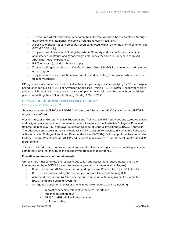- The required AGPT and college mandatory hospital rotations have been completed through the provision of statement(s) of service from the relevant hospital(s).
- A Basic Life Support (BLS) course has been completed within 12 months prior to commencing GPT1 (RACGP only).
- They are a rural procedural GP registrar who is GP ready and has qualifications in either anaesthetics, obstetrics and gynaecology, emergency medicine, surgery or recognised Aboriginal health experience.
- PGY5 or above (excludes observerships).
- They are willing to be placed in Modified Monash Model (MMM) 3 or above and dedicated to a rural region.
- They meet one or more of the above priorities and are willing to be placed where there are training vacancies.

GP registrars that commence in a hospital in their first year may consider applying for RPL for hospital based Extended Skills (RACGP) or Advanced Specialised Training (AST ACRRM). Those who wish to submit an RPL application must arrange a training plan meeting with their Program Training Advisor prior to submitting their RPL application by Sunday, 1 March 2021.

### **GPR6.0 EDUCATION AND ASSESSMENT POLICY** Last revision: 25 February 2021

#### Please refer to the ACRRM and RACGP Curriculum and Assessment Policies and the WAGPET GP Registrar Handbook.

Western Australian General Practice Education and Training (WAGPET) provides structured education and programmatic assessment that meets the requirements of the Australian College of Rural and Remote Training (ACRRM) and Royal Australian College of General Practitioners (RACGP) curricula. The education and assessment framework assists GP registrars to satisfactorily complete Fellowship of the Australian College of Rural and Remote Medicine (FACRRM), Fellowship of the Royal Australian College General Practitioners (FRACGP) and Fellowship in Advanced Rural General Practice (FARGP) requirements.

The aim of the education and assessment framework is to ensure registrars are practising safely and competently and that they build the capability to practise independently.

#### **Education and assessment requirements**

GP registrars must complete the following education and assessment requirements within the timeframes set by WAGPET for each semester or year and by the relevant college(s):

- Basic Life Support (BLS) course before starting General Practice Term (GPT) 1 (RACGP)
- REST course completed by the second year of Core Generalist Training (CGT).
- Advanced Life Support (ALS) course before completion of training (within four years for RACGP and three years for ACRRM)
- all required education and assessments undertaken during training, including:
	- in-practice teaching relevant to the term undertaken
	- regional education days
	- GP365 or GPR-MAP online education
	- central workshops

Last revision August 2021 Page 18 of 55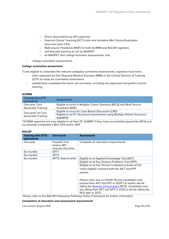- Direct observations by GP supervisor
- External Clinical Teaching (ECT) visits and formative Mini Clinical Evaluation Exercises (mini-CEX)
- Multi-source Feedback (MSF) for both ACRRM and RACGP registrars
- self-directed learning as set by WAGPET
- all WAGPET and college formative assessments, and
- college summative assessments.

#### **College summative assessment**

To be eligible to undertake the relevant college(s) summative assessments, registrars must have:

- been assessed by their Regional Medical Educator (RME) or the Clinical Director of Training (CDT) as ready for summative assessment
- satisfactorily completed the terms set out below, including any approved recognition of prior learning.

#### **ACRRM**

| Training time (FTE<br>equivalent) | Assessment                                                                |
|-----------------------------------|---------------------------------------------------------------------------|
| One-year Core                     | Eligible to enrol in Multiple Choice Question (MCQ) and Multi Source      |
| <b>Generalist Training</b>        | Feedback (MSF)                                                            |
|                                   | Eligible to enrol for Case Based Discussion (CBD)                         |
| Two-years of Core                 | Eligible to sit PC Structured Assessment using Multiple Patient Scenarios |
| <b>Generalist Training</b>        | (StAMPS)*                                                                 |

\*ACRRM registrars are only eligible to sit their PC StAMPS if they have successfully passed the MCQ and successfully completed a Mini-CEX and/or MSF.

| <b>Training time (FTE</b><br>equivalent) | <b>Term level</b>                                          | <b>Assessment</b>                                                                                                                                                                                                                                        |
|------------------------------------------|------------------------------------------------------------|----------------------------------------------------------------------------------------------------------------------------------------------------------------------------------------------------------------------------------------------------------|
| One-year                                 | <b>Hospital Year</b><br>(unless RPL)<br>reduces this time) | Complete all education requirements                                                                                                                                                                                                                      |
| Six-months                               | GPT1                                                       |                                                                                                                                                                                                                                                          |
| Six-months                               | GPT <sub>2</sub>                                           |                                                                                                                                                                                                                                                          |
| Six-months                               | GPT3, Extend skills                                        | Eligible to sit Applied Knowledge Test (AKT)<br>Eligible to sit Key Feature Problems Test (KFP)<br>Eligible to sit the Clinical Competency Exam (CCE)<br>*(only eligible if passed both the AKT and KFP<br>exams)                                        |
|                                          |                                                            | Please note, due to COVID-19 only candidates who<br>passed their AKT and KFP in 2020.1 or earlier will be<br>sitting the Remote Clinical Exam (RCE). Candidates who<br>are sitting their AKT and KFP in 2020.2 will be sitting the<br>RCE later in 2021. |

\*Please refer to the RACGP Fellowship Pathways Policy Framework for further information

#### **Completion of education and assessment requirements**

Last revision August 2021 Page 19 of 55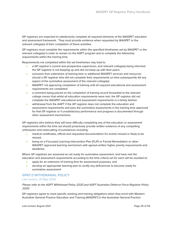GP registrars are expected to satisfactorily complete all required elements of the WAGPET education and assessment framework. They must provide evidence when requested by WAGPET or the relevant college(s) of their completion of these activities.

GP registrars must complete the requirements within the specified timeframes set by WAGPET or the relevant college(s) in order to remain on the AGPT program and to complete the fellowship requirements within the training time.

Requirements not completed within the set timeframes may lead to:

- a GP registrar's current and prospective supervisors, and relevant college(s) being informed the GP registrar is not keeping up and did not keep up with their peers.
- exclusion from extensions of training time or additional WAGPET services and resources should a GP registrar who did not complete their requirements on time subsequently fail any aspect of the summative assessment of the relevant college(s).
- WAGPET not approving completion of training until all required educational and assessment requirements are completed.
- a comment being placed on the completion of training record forwarded to the relevant college censor that whilst all education requirements were met, the GP registrar did not complete the WAGPET educational and assessment requirements in a timely fashion.
- withdrawal from the AGPT if the GP registrar does not complete the education and assessment requirements and pass the summative assessments in the training time approved for that GP registrar or if unsatisfactory performance and progress is documented through other assessment mechanisms.

GP registrars who believe they will have difficulty completing any of the education or assessment requirements within the time set should proactively provide written evidence of any compelling unforeseen and extenuating circumstances including:

- medical certificates, official and requested documentation for events missed or likely to be missed,
- being on a Focussed Learning Intervention Plan (FLIP) or Formal Remediation or other WAGPET approved learning mechanism with agreed written higher priority requirements and deadlines.

Where GP registrars are assessed as not ready for summative assessment, and have met the education and assessment requirements according to the time criteria set for each will be assisted to:

- apply for an extension of training time for assessment purposes, and
- develop an appropriate learning plan to rectify any deficiencies to become ready for summative assessment.

#### <span id="page-20-0"></span>**GPR7.0 WITHDRAWAL POLICY**

#### Last revision: 20 May 2020

Please refer to the AGPT Withdrawal Policy 2020 and AGPT Australian Defence Force Registrar Policy 2020.

GP registrars agree to meet specific working and training obligations when they enrol with Western Australian General Practice Education and Training (WAGPET) in the Australian General Practice

Last revision August 2021 **Page 20 of 55**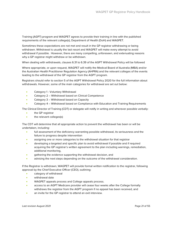Training (AGPT) program and WAGPET agrees to provide their training in line with the published requirements of the relevant college(s), Department of Health (DoH) and WAGPET.

Sometimes these expectations are not met and result in the GP registrar withdrawing or being withdrawn. Withdrawal is usually the last resort and WAGPET will make every attempt to avoid withdrawal if possible. However, there are many compelling, unforeseen, and extenuating reasons why a GP registrar might withdraw or be withdrawn.

When dealing with withdrawals, clauses 6.31 to 6.39 of the AGPT Withdrawal Policy will be followed

Where appropriate, or upon request, WAGPET will notify the Medical Board of Australia (MBA) and/or the Australian Health Practitioner Regulation Agency (AHPRA) and the relevant colleges of the events leading to the withdrawal of the GP registrar from the AGPT program.

Registrars should refer to section 5 of the AGPT Withdrawal Policy 2020 for the full information about withdrawals. However, some of the main categories for withdrawal are set out below:

- Category 1 Voluntary Withdrawal
- Category 2 Withdrawal based on Clinical Competence
- Category 3 Withdrawal based on Capacity
- Category 4 Withdrawal based on Compliance with Education and Training Requirements

The Clinical Director of Training (CDT) or delegate will notify in writing and wherever possible verbally:

- the GP registrar
- the relevant colleges(s)

The CDT will determine that all appropriate action to prevent the withdrawal has been or will be undertaken, including:

- full assessment of the deficiency warranting possible withdrawal, its seriousness and the failure to progress despite intervention
- assigning one or more categories to the withdrawal situation for that registrar
- developing a targeted and specific plan to avoid withdrawal if possible and if required acquiring the GP registrar's written agreement to the plan including warnings, remediation, additional monitoring,
- **•** gathering the evidence supporting the withdrawal decision, and
- advising the next steps depending on the outcome of the withdrawal consideration.

If the Registrar is withdrawn, WAGPET will provide formal written notification to the registrar, following approval by the Chief Executive Officer (CEO), outlining:

- category of withdrawal
- withdrawal date
- WAGPET appeals process and College appeals process.
- access to an AGPT Medicare provider will cease four weeks after the College formally withdraws the registrar from the AGPT program if no appeal has been received, and
- an invite for the GP registrar to attend an exit interview.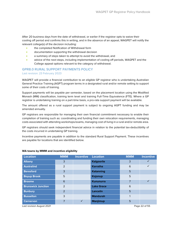After 20 business days from the date of withdrawal, or earlier if the registrar opts to waive their cooling off period and confirms this in writing, and in the absence of an appeal, WAGPET will notify the relevant college(s) of the decision including:

- the completed Notification of Withdrawal form
- documentation supporting the withdrawal decision
- a summary of steps taken to attempt to avoid the withdrawal, and
- advice of the next steps, including implementation of cooling off periods, WAGPET and the College appeal options relevant to the category of withdrawal.

#### <span id="page-22-0"></span>**GPR8.0 RURAL SUPPORT PAYMENTS POLICY** Last revision: 23 February 2023

WAGPET will provide a financial contribution to an eligible GP registrar who is undertaking Australian General Practice Training (AGPT) program terms in a designated rural and/or remote setting to support some of their costs of training.

Support payments will be payable per semester, based on the placement location using the Modified Monash (MM) classification, training term level and training Full-Time Equivalence (FTE). Where a GP registrar is undertaking training on a part-time basis, a pro-rata support payment will be available.

The amount offered as a rural support payment is subject to ongoing AGPT funding and may be amended annually.

GP registrars are responsible for managing their own financial commitment necessary to enable their completion of training such as: coordinating and funding their own relocation requirements, managing costs associated with attending workshops/exams, managing cost of living in a rural and/or remote area.

GP registrars should seek independent financial advice in relation to the potential tax-deductibility of the costs incurred in undertaking GP training.

Incentive payments are payable in addition to the standard Rural Support Payment. These incentives are payable for locations that are identified below.

| <b>Location</b>           | <b>MMM</b>     | <b>Incentive</b> | <b>Location</b>   | <b>MMM</b> | <b>Incentive</b> |
|---------------------------|----------------|------------------|-------------------|------------|------------------|
| <b>Albany</b>             | 3              |                  | <b>Kalgoorlie</b> | 3          | ✓                |
| <b>Australind</b>         | $\overline{2}$ |                  | <b>Karratha</b>   | 6          | ✓                |
| <b>Beresford</b>          | 3              |                  | <b>Katanning</b>  | 5          |                  |
| <b>Boyup Brook</b>        | 5              |                  | Kojonup           | 5          |                  |
| <b>Broome</b>             | 6              |                  | <b>Kununurra</b>  | 7          | ✓                |
| <b>Brunswick Junction</b> | $\overline{2}$ |                  | <b>Lake Grace</b> | 6          |                  |
| <b>Bunbury</b>            | $\mathcal{P}$  |                  | <b>Lancelin</b>   | 5          |                  |
| <b>Busselton</b>          | 3              |                  | <b>Mandurah</b>   |            |                  |
| <b>Carnarvon</b>          | 7              | $\checkmark$     | <b>Manjimup</b>   | 5          |                  |

#### **WA towns by MMM and incentive eligibility**

Last revision August 2021 Page 22 of 55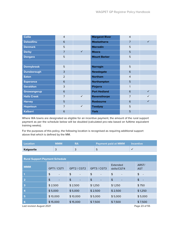| <b>Collie</b>      | $\overline{4}$ |              | <b>Margaret River</b> | $\overline{4}$ |   |
|--------------------|----------------|--------------|-----------------------|----------------|---|
| <b>Dalwallinu</b>  | 6              |              | <b>Meekatharra</b>    | $\overline{7}$ | ✓ |
| <b>Denmark</b>     | 5              |              | <b>Merredin</b>       | 5              |   |
| <b>Derby</b>       | $\overline{7}$ | $\checkmark$ | <b>Moora</b>          | 5              |   |
| <b>Dongara</b>     | 5              |              | <b>Mount Barker</b>   | 5              |   |
|                    |                |              |                       |                |   |
| <b>Donnybrook</b>  | 5              |              | <b>Narrogin</b>       | 5              |   |
| <b>Dunsborough</b> | 3              |              | <b>Newdegate</b>      | 6              |   |
| <b>Eaton</b>       | $\overline{2}$ |              | <b>Northam</b>        | $\overline{4}$ |   |
| <b>Esperance</b>   | 6              |              | <b>Northampton</b>    | 5              |   |
| <b>Geraldton</b>   | 3              |              | Pinjarra              | $\mathbf{1}$   |   |
| Gnowangerup        | 6              |              | <b>Port Hedland</b>   | 6              |   |
| <b>Halls Creek</b> | 7              | $\checkmark$ | Ravensthorpe          | 7              |   |
| <b>Harvey</b>      | 5              |              | <b>Roebourne</b>      | 6              |   |
| Hopetoun           | $\overline{7}$ | $\checkmark$ | <b>Toodyay</b>        | 5              |   |
| <b>Kalbarri</b>    | 6              |              | <b>York</b>           | 5              |   |

Where WA towns are designated as eligible for an incentive payment, the amount of the rural support payment as per the schedule below will be doubled (calculated pro-rata based on fulltime equivalent training weeks).

For the purposes of this policy, the following location is recognised as requiring additional support above that which is defined by the MM.

| Location   | ммм | RΔ | Payment paid at MMM | <b>Incentive</b> |
|------------|-----|----|---------------------|------------------|
| Kalgoorlie | ٮ   |    | ∽                   |                  |

| <b>Rural Support Payment Schedule</b> |                                |                                           |                                |                                |                                |
|---------------------------------------|--------------------------------|-------------------------------------------|--------------------------------|--------------------------------|--------------------------------|
| <b>MMM</b>                            | GPT1/CGT1                      | GPT2 / CGT2                               | GPT3 / CGT3                    | Extended<br>skills/CGT4        | ARST/<br><b>AST</b>            |
|                                       | \$<br>$\overline{\phantom{a}}$ | $\frac{4}{5}$<br>$\overline{\phantom{a}}$ | \$<br>$\overline{\phantom{a}}$ | \$<br>$\overline{\phantom{a}}$ | \$<br>$\overline{\phantom{a}}$ |
| $\overline{\mathbf{2}}$               | \$<br>٠                        | $\frac{4}{5}$<br>٠                        | $\frac{4}{5}$<br>٠             | $\frac{4}{5}$                  | $\frac{2}{3}$                  |
| 3                                     | \$2,500                        | \$2,500                                   | \$1,250                        | \$1,250                        | \$750                          |
| 4                                     | \$5,000                        | \$5,000                                   | \$2,500                        | \$2,500                        | \$1,250                        |
| 5                                     | \$10,000                       | \$10,000                                  | \$5,000                        | \$5,000                        | \$5,000                        |
| 6                                     | \$15,000                       | \$15,000                                  | \$7,500                        | \$7,500                        | \$7,500                        |

Last revision August 2021 Page 23 of 55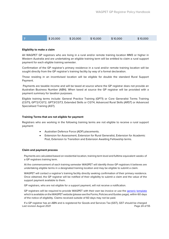#### **Eligibility to make a claim**

All WAGPET GP registrars who are living in a rural and/or remote training location MM3 or higher in Western Australia and are undertaking an eligible training term will be entitled to claim a rural support payment for each eligible training semester.

Confirmation of the GP registrar's primary residence in a rural and/or remote training location will be sought directly from the GP registrar's training facility by way of a formal declaration.

Those residing in an incentivised location will be eligible for double the standard Rural Support Payment.

Payments are taxable income and will be taxed at source where the GP registrar does not provide an Australian Business Number (ABN). When taxed at source the GP registrar will be provided with a payment summary for taxation purposes.

Eligible training terms include: General Practice Training (GPT1) or Core Generalist Terms Training (CGT1), GPT2/CGT2, GPT3/CGT3, Extended Skills or CGT4, Advanced Rural Skills (ARST) or Advanced Specialised Training (AST).

#### **Training Terms that are not eligible for payment**

Registrars who are working in the following training terms are not eligible to receive a rural support payment:

- Australian Defence Force (ADF) placements.
- Extension for Assessment, Extension for Rural Generalist, Extension for Academic Post, Extension to Transition and Extension Awaiting Fellowship terms.

#### **Claim and payment process**

Payments are calculated based on residential location, training term level and fulltime equivalent weeks of a GP registrars training term.

At the commencement of each training semester WAGPET will identify those GP registrars it believes are undertaking eligible terms in a designated training location and may be eligible to submit a claim.

WAGPET will contact a registrar's training facility directly seeking confirmation of their primary residence. Once obtained, the GP registrar will be notified of their eligibility to submit a claim and the value of the support payment available to them.

GP registrars, who are not eligible for a support payment, will not receive a notification.

GP registrars will be required to provide WAGPET with their own tax invoice or use the [generic](https://www.wagpet.com.au/images/uploads/documents/Forms/FIN004_Tax_Invoice_-_Generic.pdf) [template](https://www.wagpet.com.au/images/uploads/documents/Forms/FIN004_Tax_Invoice_-_Generic.pdf) which is available on the WAGPET website (please see the Forms, Policies and Guides page), within 60 days of the notice of eligibility. Claims received outside of 60 days may not be paid.

Last revision August 2021 **Page 24 of 55** If a GP registrar has an ABN and is registered for Goods and Services Tax (GST), GST should be charged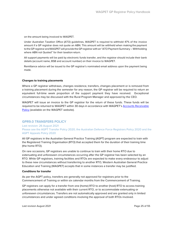on the amount being invoiced to WAGPET.

Under Australian Taxation Office (ATO) guidelines, WAGPET is required to withhold 47% of the invoice amount if a GP registrar does not quote an ABN. This amount will be withheld when making the payment to the GP registrar and WAGPET will provide the GP registrar with an "ATO Payment Summary – Withholding where ABN not Quoted" for their taxation return.

All support payments will be paid by electronic funds transfer, and the registrar should include their bank details (account name, BSB and account number) on their invoice to WAGPET.

Remittance advice will be issued to the GP registrar's nominated email address upon the payment being made.

#### **Changes to training placements**

Where a GP registrar withdraws, changes residence, transfers, changes placement or is removed from a training placement during the semester for any reason, the GP registrar will be required to return an equivalent full-time week proportion of the support payment they have received. Exceptional circumstances may be discussed with the Rural Program Manager and approved by the CEO.

WAGPET will issue an invoice to the GP registrar for the return of these funds. These funds will be required to be returned to WAGPET within 30 days in accordance with WAGPET's [Accounts Receivable](https://www.wagpet.com.au/images/uploads/documents/Policies/5.4.2.10_Accounts_Payable_Policy.pdf)  [Policy](https://www.wagpet.com.au/images/uploads/documents/Policies/5.4.2.10_Accounts_Payable_Policy.pdf) (available on the WAGPET website).

#### <span id="page-25-0"></span>**GPR9.0 TRANSFERS POLICY**

Last revision: 26 August 2021 Please see the AGPT Transfer Policy 2020, the Australian Defence Force Registrars Policy 2020 and the AGPT Appeals Policy 2020

All GP registrars in the Australian General Practice Training (AGPT) program are expected to train with the Registered Training Organisation (RTO) that accepted them for the duration of their training time (the home RTO).

On rare occasions, GP registrars are unable to continue to train with their home RTO due to extenuating and unforeseen circumstances occurring after the GP registrar has been selected by an RTO. While GP registrars, training facilities and RTOs are expected to make every endeavour to adjust to these new circumstances without transferring to another RTO, Western Australian General Practice Education and Training (WAGPET) accepts that in some instances a transfer may be justified.

#### **Conditions for transfer**

As per the AGPT policy, transfers are generally not approved for registrars prior to the Commencement of Training or within six calendar months from the Commencement of Training.

GP registrars can apply for a transfer from one (home) RTO to another (host) RTO to access training placements otherwise not available with their current RTO, or to accommodate extenuating or unforeseen circumstances. Transfers are not automatically approved and are granted only in limited circumstances and under agreed conditions involving the approval of both RTOs involved.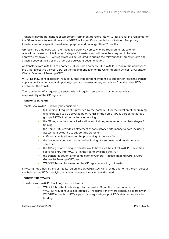Transfers may be permanent or temporary. Permanent transfers into WAGPET are for the remainder of the GP registrar's training time and WAGPET will sign off on completion of training. Temporary transfers are for a specific time-limited purpose and no longer than 12 months.

GP registrars employed with the Australian Defence Force, who are required to relocate for operational reasons will fall under Category 3 transfers and will have their request to transfer approved by WAGPET. GP registrars will be required to submit the relevant AGPT transfer form and attach a copy of their posting orders or equivalent documentation.

All transfers from WAGPET to another RTO, or from another RTO to WAGPET require the approval of the Chief Executive Officer (CEO) on the recommendation of the Chief Program Officer (CPO) and/or Clinical Director of Training (CDT).

WAGPET may, at its discretion, request further independent evidence to support or reject the transfer application, including medical opinions, supervisor assessments, and advice from the other RTO involved in the transfer.

The submission of a request to transfer with all required supporting documentation is the responsibility of the GP registrar.

#### **Transfer to WAGPET**

Transfers to WAGPET will only be considered if:

- full funding (if required) is provided by the home RTO for the duration of the training time expected to be delivered by WAGPET or the home RTO is part of the agreed group of RTOs that do not transfer funding
- the GP registrar has met all education and training requirements for their stage of training
- the home RTO provides a statement of satisfactory performance to date including assessment evidence to support the statement
- sufficient time is allowed for the processing of the transfer
- the placement commences at the beginning of a semester and not during the semester
- the GP registrar wishing to transfer would have met the cut off WAGPET selection score for entry into WAGPET in the year they joined the AGPT
- the transfer is sought after completion of General Practice Training (GPT) 1 /Core Generalist Training (CGT), and
- WAGPET has a placement for the GP registrar wishing to transfer

If WAGPET declines a transfer into its region, the WAGPET CDT will provide a letter to the GP registrar via their current RTO specifying why their requested transfer was declined.

#### **Transfer from WAGPET**

Transfers from WAGPET will only be considered if:

• WAGPET has the funds sought by the host RTO and these are no more than WAGPET would have allocated this GP registrar if they were continuing to train with WAGPET or the host RTO is part of the agreed group of RTOs that do not transfer funding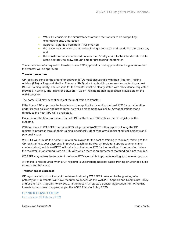- WAGPET considers the circumstances around the transfer to be compelling, extenuating and/ unforeseen
- approval is granted from both RTOs involved
- the placement commences at the beginning a semester and not during the semester, and
- the transfer request is received no later than 60 days prior to the intended start date at the host RTO to allow enough time for processing the transfer.

The submission of a request to transfer, home RTO approval or host approval is not a guarantee that the transfer will be approved.

#### **Transfer procedure**

GP registrars considering a transfer between RTOs must discuss this with their Program Training Advisor (PTA) or Regional Medical Educator (RME) prior to submitting a request or contacting a host RTO or training facility. The reasons for the transfer must be clearly stated with all evidence requested provided in writing. The 'Transfer Between RTOs or Training Region' application is available on the AGPT website.

The home RTO may accept or reject the application to transfer.

If the home RTO approves the transfer out, the application is sent to the host RTO for consideration under its own policies and procedures, as well as placement availability. Any applications made directly to the host RTO will be rejected.

Once the application is approved by both RTOs, the home RTO notifies the GP registrar of the outcome.

With transfers to WAGPET, the home RTO will provide WAGPET with a report outlining the GP registrar's progress through their training, specifically identifying any significant critical incidents and personal issues.

WAGPET will provide the home RTO with an invoice for the cost of training (if required) relating to the GP registrar (e.g. post payments, in-practice teaching, ECTVs, GP registrar support payments and administration), which WAGPET will claim from the home RTO for the duration of the transfer. Unless the registrar is transferring from an RTO with which there is an agreement that funding is not required.

WAGPET may refuse the transfer if the home RTO is not able to provide funding for the training costs.

A transfer is not required when a GP registrar is undertaking hospital based training or Extended Skills terms in another state.

#### **Transfer appeals process**

GP registrars who do not accept the determination by WAGPET in relation to the granting of a pathway or RTO transfer will have recourse to appeal via the WAGPET Appeals and Complaints Policy and/or the AGPT Appeals Policy 2020. If the host RTO rejects a transfer application from WAGPET, there is no recourse to appeal, as per the AGPT Transfer Policy 2020.

<span id="page-27-0"></span>**GPR10.0 LEAVE POLICY** Last revision: 25 February 2021

Last revision August 2021 Page 27 of 55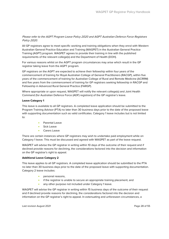#### Please refer to the AGPT Program Leave Policy 2020 and AGPT Australian Defence Force Registrars Policy 2020.

All GP registrars agree to meet specific working and training obligations when they enrol with Western Australian General Practice Education and Training (WAGPET) in the Australian General Practice Training (AGPT) program. WAGPET agrees to provide their training in line with the published requirements of the relevant college(s) and the Department of Health (DOH).

For various reasons whilst on the AGPT program circumstances may arise which result in the GP registrar taking leave from the AGPT program.

GP registrars on the AGPT are expected to achieve their fellowship within four years of the commencement of training for Royal Australian College of General Practitioners (RACGP), within five years of the commencement of training for Australian College of Rural and Remote Medicine (ACRRM) and five years from the commencement of training for GP registrars seeking fellowship in RACGP and Fellowship in Advanced Rural General Practice (FARGP).

Where appropriate or upon request, WAGPET will notify the relevant college(s) and Joint Health Command (for Australian Defence Force (ADF) registrars) of the GP registrar's leave.

#### **Leave Category 1**

This leave is available to all GP registrars. A completed leave application should be submitted to the Program Training Advisor (PTA) no later than 30 business days prior to the date of the proposed leave with supporting documentation such as valid certificates. Category 1 leave includes but is not limited to:

- Parental Leave
- Sick Leave
- Carers Leave

There are certain instances where GP registrars may wish to undertake paid employment while on Category 1 leave. This must be discussed and agreed with WAGPET as part of the leave request.

WAGPET will advise the GP registrar in writing within 10 days of the outcome of their request and if declined provide reasons for declining, the considerations factored into the decision and information on the GP registrar's right to appeal.

#### **Additional Leave Category 2**

This leave applies to all GP registrars. A completed leave application should be submitted to the PTA no later than 30 business days prior to the date of the proposed leave with supporting documentation. Category 2 leave includes:

- personal reasons,
- if the registrar is unable to secure an appropriate training placement, and
- any other purpose not included under Category 1 leave.

WAGPET will advise the GP registrar in writing within 15 business days of the outcome of their request and if declined provide reasons for declining, the considerations factored into the decision and information on the GP registrar's right to appeal. In extenuating and unforeseen circumstances, a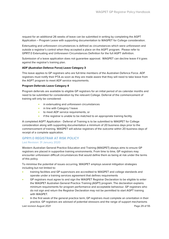request for an additional 26 weeks of leave can be submitted in writing by completing the AGPT Application – Program Leave with supporting documentation to WAGPET for College consideration.

Extenuating and unforeseen circumstances is defined as circumstances which were unforeseen and outside a registrar's control when they accepted a place on the AGPT program. Please refer to GPR17.0 Extenuating and Unforeseen Circumstances Definition for the full AGPT definition.

Submission of a leave application does not guarantee approval. WAGPET can decline leave if it goes against the registrar's training plan.

#### **ADF (Australian Defence Force) Leave Category 3**

This leave applies to GP registrars who are full-time members of the Australian Defence Force. ADF registrars must notify their PTA as soon as they are made aware that they will need to take leave from the AGPT program to meet ADF service requirements.

#### **Program Deferrals Leave Category 4**

Program deferrals are available to eligible GP registrars for an initial period of six calendar months and need to be submitted for consideration by the relevant College. Deferral of the commencement of training will only be considered:

- in extenuating and unforeseen circumstances
- in line with Category 1 leave
- to meet ADF service requirements, or
- if the registrar is unable to be matched to an appropriate training facility.

A completed AGPT Application - Deferral of Training is to be submitted to WAGPET for College consideration along with supporting documentation a minimum of 20 business days prior to the commencement of training. WAGPET will advise registrars of the outcome within 20 business days of receipt of a complete application.

#### <span id="page-29-0"></span>**GPR11.0 REGISTRAR AT RISK POLICY** Last Revision: 31 January 2020

Western Australian General Practice Education and Training (WAGPET) always aims to ensure GP registrars are placed in supportive training environments. From time to time, GP registrars may encounter unforeseen difficult circumstances that would define them as being at risk under the terms of this policy.

To minimise the potential of issues occurring, WAGPET employs several mitigation strategies including but not limited to:

- training facilities and GP supervisors are accredited to WAGPET and college standards and operate under a training services agreement that defines requirements
- GP registrars must agree to and sign the WAGPET Registrar Declaration to be eligible to enter the WAGPET Australian General Practice Training (AGPT) program. The declaration explains minimum requirements for program performance and acceptable behaviour. GP registrars who do not sign and return the Registrar Declaration may not be permitted to start AGPT training with WAGPET.
- Last revision August 2021 Page 29 of 55 In the first week of the general practice term, GP registrars must complete an orientation in their practice. GP registrars are advised of potential stressors and the range of support mechanisms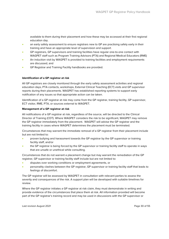available to them during their placement and how these may be accessed at their first regional education day.

- an early safety assessment to ensure registrars new to GP are practising safely early in their training and have an appropriate level of supervision and support.
- GP registrars, GP supervisors and training facilities have regular one-to-one contact with WAGPET staff such as Program Training Advisors (PTA) and Regional Medical Educators (RME)
- An induction visit by WAGPET is provided to training facilities and employment requirements are discussed, and
- GP Registrar and Training Facility handbooks are provided.

#### **Identification of a GP registrar at risk**

All GP registrars are closely monitored through the early safety assessment activities and regional education days, PTA contacts, workshops, External Clinical Teaching (ECT) visits and GP supervisor reports during their placements. WAGPET has established reporting systems to support early notification of any issues so that appropriate action can be taken.

Identification of a GP registrar at risk may come from the GP registrar, training facility, GP supervisor, ECT visitor, RME, PTA, or sources external to WAGPET.

#### **Management of a GP registrar at risk**

All notifications of a GP registrar at risk, regardless of the source, will be directed to the Clinical Director of Training (CDT). Where WAGPET considers the risk to be significant, WAGPET may remove the GP registrar immediately from the placement. WAGPET will advise the GP registrar and the training facility in cases where WAGPET determines the placement must be terminated.

Circumstances that may warrant the immediate removal of a GP registrar from their placement include but are not limited to:

- proven bullying and harassment towards the GP registrar by the GP supervisor or training facility staff, and/or
- the GP registrar is being forced by the GP supervisor or training facility staff to operate in ways that are unsafe or unethical while consulting.

Circumstances that do not warrant a placement change but may warrant the remediation of the GP registrar, GP supervisor or training facility staff include but are not limited to:

- disputes over working conditions or employment agreements, or
- personality clashes between the GP registrar, GP supervisor or training facility staff that leads to feelings of discomfort.

The GP registrar will be assessed by WAGPET in consultation with relevant parties to assess the severity and consequences of the risk. A support plan will be developed with suitable timelines for review.

Where the GP registrar initiates a GP registrar at risk claim, they must demonstrate in writing and provide evidence of the circumstances that place them at risk. All information provided will become part of the GP registrar's training record and may be used in discussions with the GP supervisor or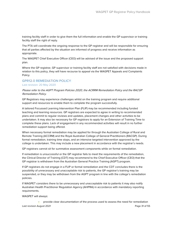training facility staff in order to give them the full information and enable the GP supervisor or training facility staff the right of reply.

The PTA will coordinate the ongoing response to the GP registrar and will be responsible for ensuring that all parties affected by the situation are informed of progress and receive information as appropriate.

The WAGPET Chief Executive Officer (CEO) will be advised of the issue and the proposed support plan.

Where the GP registrar, GP supervisor or training facility staff are not satisfied with decisions made in relation to this policy, they will have recourse to appeal via the WAGPET Appeals and Complaints Policy.

#### <span id="page-31-0"></span>**GPR12.0 REMEDIATION POLICY**

#### Last revision: 20 May 2020

Please refer to the AGPT Program Policies 2020, the ACRRM Remediation Policy and the RACGP Remediation Policy.

GP Registrars may experience challenges whilst on the training program and require additional support and resources to enable them to complete the program successfully.

A tailored Focussed Learning Intervention Plan (FLIP) may be recommended including funded teaching and learning resources. GP registrars are expected to agree in writing to recommended plans and commit to regular reviews and updates, placement changes and other activities to be undertaken. It may also be necessary for GP registrars to apply for an Extension of Training Time to complete these plans. Lack of engagement in any recommended activities will result in no further remediation support being offered.

When necessary formal remediation may be applied for through the Australian College of Rural and Remote Training (ACCRM) and the Royal Australian College of General Practitioners (RACGP). During formal remediation, training time stops, and an intensive targeted intervention approved by the college is undertaken. This may include a new placement in accordance with the registrar's needs.

GP registrars cannot sit for summative assessment components while on formal remediation.

If remediation is unsuccessful or the GP registrar fails to meet the requirements of the remediation, the Clinical Director of Training (CDT) may recommend to the Chief Executive Officer (CEO) that the GP registrar is withdrawn from the Australian General Practice Training (AGPT) program.

If GP registrars do not engage in a FLIP or formal remediation and the CDT concludes there is the possibility of unnecessary and unacceptable risk to patients, the GP registrar's training may be suspended, or they may be withdrawn from the AGPT program in line with the college's remediation policies.

If WAGPET considers there to be unnecessary and unacceptable risk to patients it may also notify Australian Health Practitioner Regulation Agency (AHPRA) in accordance with mandatory reporting requirements.

WAGPET will always:

Last revision August 2021 **Page 31** of 55 • provide clear documentation of the process used to assess the need for remediation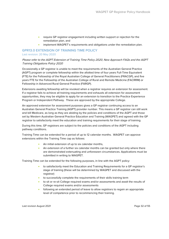- require GP registrar engagement including written support or rejection for the remediation plan, and
- implement WAGPET's requirements and obligations under the remediation plan.

### <span id="page-32-0"></span>**GPR13.0 EXTENSION OF TRAINING TIME POLICY** Last revision: 20 May 2020

#### Please refer to the AGPT Extension of Training Time Policy 2020, New Approach FAQs and the AGPT Training Obligations Policy 2020

Occasionally a GP registrar is unable to meet the requirements of the Australian General Practice (AGPT) program or complete fellowship within the allotted time of four years Full-Time Equivalent (FTE) for the Fellowship of the Royal Australian College of General Practitioners (FRACGP), and five years FTE for the Fellowship of the Australian College of Rural and Remote Medicine (FACRRM) or Fellowship in Advanced Rural General Practice (FARGP).

Extensions awaiting fellowship will be revoked when a registrar requires an extension for assessment. If a registrar fails to achieve all training requirements and exhausts all extension for assessment opportunities, they may be eligible to apply for an extension to transition to the Practice Experience Program or Independent Pathway. These are approved by the appropriate College.

An approved extension for assessment purposes gives a GP registrar continuing access to an Australian General Practice Training (AGPT) provider number. This means a GP registrar can still work and bill Medicare, as long as they are abiding by the policies and conditions of the AGPT and those set by Western Australian General Practice Education and Training (WAGPET) and agreed with the GP registrar to satisfactorily meet the education and training requirements for their stage of training.

During this time, GP registrars are subject to the policies and conditions of the AGPT including pathway conditions.

Training Time can be extended for a period of up to 12 calendar months. WAGPET can approve extensions within the Training Time cap as follows:

- An initial extension of up to six calendar months,
- An extension of a further six calendar months can be granted but only where there are demonstrated extenuating and unforeseen circumstances. Applications must be submitted in writing to WAGPET.

Training Time can be extended for the following purposes, in line with the AGPT policy:

- to satisfactorily meet the Education and Training Requirements for a GP registrar's stage of training (these will be determined by WAGPET and discussed with the registrar)
- to successfully complete the requirements of their skills training term
- to sit or re-sit College required exams and/or assessments and await the results of College required exams and/or assessments
- following an extended period of leave to allow registrars to regain an appropriate level of competence prior to recommencing their training.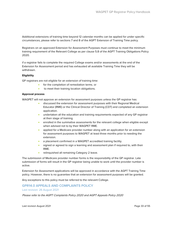Additional extensions of training time beyond 12 calendar months can be applied for under specific circumstances, please refer to sections 7 and 8 of the AGPT Extension of Training Time policy.

Registrars on an approved Extension for Assessment Purposes must continue to meet the minimum training requirement of the Relevant College as per clause 5.8 of the AGPT Training Obligations Policy 2020.

if a registrar fails to complete the required College exams and/or assessments at the end of the Extension for Assessment period and has exhausted all available Training Time they will be withdrawn.

#### **Eligibility**

GP registrars are not eligible for an extension of training time:

- for the completion of remediation terms. or
- to meet their training location obligations.

#### **Approval process**

WAGPET will not approve an extension for assessment purposes unless the GP registrar has:

- discussed the extension for assessment purposes with their Regional Medical Educator (RME) or the Clinical Director of Training (CDT) and completed an extension application.
- undertaken all the education and training requirements expected of any GP registrar at their stage of training.
- enrolled in the summative assessments for the relevant college when eligible except when advised not to by their WAGPET RME.
- applied for a Medicare provider number along with an application for an extension for assessment purposes to WAGPET at least three months prior to needing the extension.
- a placement confirmed in a WAGPET accredited training facility.
- signed or agreed to sign a learning and assessment plan if required to, with their RME.
- relinquished all remaining Category 2 leave.

The submission of Medicare provider number forms is the responsibility of the GP registrar. Late submission of forms will result in the GP registrar being unable to work until the provider number is active.

Extension for Assessment applications will be approved in accordance with the AGPT Training Time policy. However, there is no guarantee that an extension for assessment purposes will be granted.

Any exceptions to this policy must be referred to the relevant College.

# <span id="page-33-0"></span>**GPR14.0 APPEALS AND COMPLAINTS POLICY**

Last revision: 26 August 2021

Please refer to the AGPT Complaints Policy 2020 and AGPT Appeals Policy 2020

Last revision August 2021 Page 33 of 55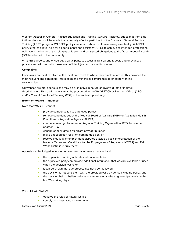Western Australian General Practice Education and Training (WAGPET) acknowledges that from time to time, decisions will be made that adversely affect a participant of the Australian General Practice Training (AGPT) program. WAGPET policy cannot and should not cover every eventuality. WAGPET policy creates a level field for all participants and assists WAGPET to achieve its intended professional obligations on behalf of the relevant college(s) and contracted obligations to the Department of Health (DOH) on behalf of the community.

WAGPET supports and encourages participants to access a transparent appeals and grievances process and will deal with these in an efficient, just and respectful manner.

#### **Complaints**

Complaints are best resolved at the location closest to where the complaint arose. This provides the most relevant and contextual information and minimises compromise to ongoing working relationships.

Grievances are more serious and may be prohibitive in nature or involve direct or indirect discrimination. These allegations must be presented to the WAGPET Chief Program Officer (CPO) and/or Clinical Director of Training (CDT) at the earliest opportunity.

#### **Extent of WAGPET influence**

Note that WAGPET cannot:

- provide compensation to aggrieved parties
- remove conditions set by the Medical Board of Australia (MBA) or Australian Health Practitioners Regulation Agency (AHPRA)
- compel a training placement or Regional Training Organisation (RTO) transfer to another RTO
- confirm or back date a Medicare provider number
- make a recognition for prior learning decision, or
- resolve industrial or employment disputes outside a basic interpretation of the National Terms and Conditions for the Employment of Registrars (NTCER) and Fair Work Australia requirements.

Appeals can be lodged where other avenues have been exhausted and:

- the appeal is in writing with relevant documentation
- the aggrieved party can provide additional information that was not available or used when the decision was taken
- it can be shown that due process has not been followed
- the decision is not consistent with the provided valid evidence including policy, and
- the decision being challenged was communicated to the aggrieved party within the last 20 working days.

#### WAGPET will always:

- observe the rules of natural justice
- comply with legislative requirements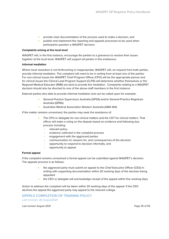- provide clear documentation of the process used to make a decision, and
- publish and implement the reporting and appeals processes to be used when participants question a WAGPET decision.

#### **Complaints arising at the local level**

WAGPET will, in the first instance, encourage the parties to a grievance to resolve their issues together at the local level. WAGPET will support all parties in this endeavour.

#### **Informal mediation**

Where local resolution is not forthcoming or inappropriate, WAGPET will, on request from both parties, provide informal mediation. The complaint will need to be in writing from at least one of the parties. For non-clinical issues the WAGPET Chief Program Officer (CPO) will be the appropriate person and for clinical issues the Clinical Lead Program Support (CLPS) will determine whether themselves or the Regional Medical Educator (RME) are best to provide the mediation. Complaints relating to a WAGPET decision should also be directed to one of the above staff members in the first instance.

External parties also able to provide informal mediation and can be called upon for example:

- General Practice Supervisors Australia (GPSA) and/or General Practice Registrars Australia (GPRA)
- Australian Medical Association Western Australia (AMA WA)

If the matter remains unresolved, the parties may seek the assistance of:

- The CPO or delegate for non-clinical matters and the CDT for clinical matters. That officer will make a ruling on the dispute based on evidence and following due process including:
	- relevant policy
	- evidence collected in the complaint process
	- engagement with the aggrieved parties
	- communication of, reasons for, and consequences of the decision
	- opportunity to respond to decision informally, and
	- opportunity to appeal

#### **Formal appeal**

If the complaint remains unresolved a formal appeal can be submitted against WAGPET's decision. The appeals process is as follows:

- the aggrieved party must submit an appeal to the Chief Executive Officer (CEO) in writing with supporting documentation within 20 working days of the decision being appealed
- <span id="page-35-0"></span>• the CEO or delegate will acknowledge receipt of the appeal within five working days

Action to address the complaint will be taken within 20 working days of the appeal. If the CEO declines the appeal the aggrieved party may appeal to the relevant college.

#### **GPR15.0 COMPLETION OF TRAINING POLICY** Last revision: 26 August2021

Last revision August 2021 Page 35 of 55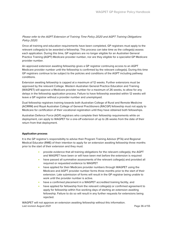#### Please refer to the AGPT Extension of Training Time Policy 2020 and AGPT Training Obligations Policy 2020.

Once all training and education requirements have been completed, GP registrars must apply to the relevant college(s) to be awarded a fellowship. This process can take time as the college(s) assess each application. During this time, GP registrars are no longer eligible for an Australian General Practice Training (AGPT) Medicare provider number, nor are they eligible for a specialist GP Medicare provider number.

An approved extension awaiting fellowship gives a GP registrar continuing access to an AGPT Medicare provider number until the fellowship is confirmed by the relevant college(s). During this time GP registrars continue to be subject to the policies and conditions of the AGPT including pathway conditions.

Extension awaiting fellowship is capped at a maximum of 12 weeks. Further extensions must be approved by the relevant College. Western Australian General Practice Education and Training (WAGPET) will approve a Medicare provider number for a maximum of 26 weeks, to allow for any delays in the fellowship application process. Failure to have fellowship awarded within 12 weeks will leave a GP registrar without a provider number and unemployed.

Dual fellowship registrars training towards both Australian College of Rural and Remote Medicine (ACRRM) and Royal Australian College of General Practitioners (RACGP) fellowship must not apply to Medicare for certification of their vocational registration until they have obtained both fellowships.

Australian Defence Force (ADF) registrars who complete their fellowship requirements while on deployment, can apply to WAGPET for a one-off extension of up to 26 weeks from the date of their return from that deployment.

#### **Application process**

It is the GP registrar's responsibility to advise their Program Training Advisor (PTA) and Regional Medical Educator (RME) of their intention to apply for an extension awaiting fellowship three months prior to the start of their extension and they must:

- provide evidence that all training obligations for the relevant college(s), the AGPT and WAGPET have been or will have been met before the extension is required
- have passed all summative assessments of the relevant college(s) and provided all required or requested evidence to WAGPET
- have applied for their Medicare provider numbers through WAGPET using the Medicare and AGPT provider number forms three months prior to the start of their extension. Late submission of forms will result in the GP registrar being unable to work until the provider number is active.
- have a confirmed placement in a WAGPET accredited training facility, and
- <span id="page-36-0"></span>• have applied for fellowship from the relevant college(s) or confirmed agreement to apply for fellowship within five working days of starting an extension awaiting fellowship. Failure to do so will result in any further requests for extensions being rejected.

Last revision August 2021 Page 36 of 55 WAGPET will not approve an extension awaiting fellowship without this information.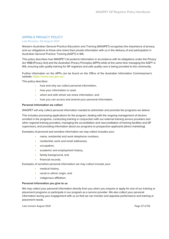### **GPR16.0 PRIVACY POLICY**

#### Last Revision: 26 August 2021

Western Australian General Practice Education and Training (WAGPET) recognises the importance of privacy and our obligations to those who share their private information with us in the delivery of and participation in Australian General Practice Training (AGPT) in WA.

This policy describes how WAGPET Ltd protects information in accordance with its obligations under the Privacy Act 1988 (Privacy Act) and the Australian Privacy Principles (APPs) while at the same time managing the AGPT in WA, ensuring safe quality training for GP registrars and safe quality care is being provided to the community.

Further information on the APPs can be found on the Office of the Australian Information Commissioner's website: **<https://www.oaic.gov.au/>**.

This policy describes:

- how and why we collect personal information,
- how your information is used.
- when and with whom we share information, and
- how you can access and amend your personal information.

#### **Personal information we collect**

WAGPET will only collect personal information needed to administer and promote the programs we deliver.

This includes processing applications for the program, dealing with the ongoing management of doctors enrolled in the programs, conducting training in conjunction with our external training service providers and other regional training providers, managing the accreditation and reaccreditation of training facilities and GP supervisors, and providing information about our programs to prospective applicants (direct marketing).

Examples of personal and sensitive information we may collect includes your:

- name, residential and work telephone numbers,
- residential, work and email addresses,
- occupation,
- academic and employment history,
- family background, and
- financial records.

Examples of sensitive personal information we may collect include your:

- medical history,
- racial or ethnic origin, and
- indigenous affiliation.

#### **Personal information you give to us**

We may collect your personal information directly from you when you enquire or apply for one of our training or placement programs or participate in our program as a service provider. We also collect your personal information during your engagement with us so that we can monitor and appraise performance and training or placement needs.

Last revision August 2021 Page 37 of 55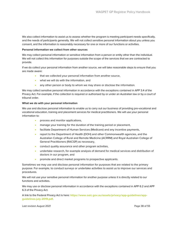We also collect information to assist us to assess whether the program is meeting participant needs specifically, and the needs of participants generally. We will not collect sensitive personal information about you unless you consent, and the information is reasonably necessary for one or more of our functions or activities.

#### **Personal information we collect from other sources**

We may collect personal information or sensitive information from a person or entity other than the individual. We will not collect this information for purposes outside the scope of the services that we are contracted to provide.

If we do collect your personal information from another source, we will take reasonable steps to ensure that you are made aware:

- that we collected your personal information from another source,
- what we will do with the information, and
- any other person or body to whom we may share or disclose the information.

We may collect sensitive personal information in accordance with the exceptions contained in APP 3.4 of the Privacy Act. For example, if the collection is required or authorised by or under an Australian law or by a court of tribunal order.

#### **What we do with your personal information**

We use and disclose personal information to enable us to carry out our business of providing pre-vocational and vocational education, training and placement services for medical practitioners. We will use your personal information to:

- process and monitor applications,
- manage your training for the duration of the training period or placement,
- facilitate Department of Human Services (Medicare) and any incentive payments,
- report to the Department of Health (DOH) and other Commonwealth agencies, and the Australian College of Rural and Remote Medicine (ACRRM) and Royal Australian College of General Practitioners (RACGP) as necessary,
- conduct quality assurance and other program activities,
- undertake research, for example analysis of demand for medical services and distribution of doctors in our program, and
- promote and direct market programs to prospective applicants.

Sometimes we may use and disclose personal information for purposes that are related to the primary purpose. For example, to conduct surveys or undertake activities to assist us to improve our services and procedures.

We will not use your sensitive personal information for another purpose unless it is directly related to our functions and activities.

We may use or disclose personal information in accordance with the exceptions contained in APP 6.2 and APP 6.3 of the Privacy Act.

A link to the Federal Privacy Act is here: **[https://www.oaic.gov.au/assets/privacy/app-guidelines/app](https://www.oaic.gov.au/assets/privacy/app-guidelines/app-guidelines-july-2019.pdf)[guidelines-july-2019.pdf](https://www.oaic.gov.au/assets/privacy/app-guidelines/app-guidelines-july-2019.pdf)**.

Last revision August 2021 Page 38 of 55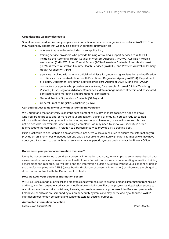#### **Organisations we may disclose to**

Sometimes we need to disclose your personal information to persons or organisations outside WAGPET. You may reasonably expect that we may disclose your personal information to:

- referees that have been included in an application,
- training service providers who provide training or training support services to WAGPET including the Aboriginal Health Council of Western Australia (AHCWA), Australian Medical Association (AMA) WA, Rural Clinical School (RCS) of Western Australia, Rural Health West (RHW), Western Australian Country Health Services (WACHS), and Western Australian Primary Health Alliance (WAPHA),
- agencies involved with relevant official administration, monitoring, registration and verification activities such as the Australian Health Practitioner Regulation Agency (AHPRA), Department of Health, Department of Human Services (Medicare Australia), ACRRM and the RACGP,
- contractors or agents who provide services to us, for example, External Clinical Teaching Visitors (ECTV), Regional Advisory Committees, data management contractors and associated contractors, and marketing and promotional contractors,
- General Practice Supervisors Australia (GPSA), and
- General Practice Registrars Australia (GPRA).

#### **Can you request to deal with us without identifying yourself?**

We understand that anonymity is an important element of privacy. In most cases, we need to know who you are to process and/or manage your application, training or enquiry. You can request to deal with us without identifying yourself or by using a pseudonym. However, in some instances this may not be possible, for example, when making a complaint, we may need to know your identity in order to investigate the complaint, in relation to a particular service provided by a training post.

If it is practicable to deal with us on an anonymous basis, we will take measures to ensure that information you provide on an anonymous or pseudonymous basis is not able to be linked with other information we may have about you. If you wish to deal with us on an anonymous or pseudonymous basis, contact th[e Privacy Officer.](mailto:privacyofficer@wagpet.com.au) 

#### **Do we send your personal information overseas?**

It may be necessary for us to send your personal information overseas, for example to an overseas based data assessment or questionnaire assessment institution or firm with which we are collaborating in medical training assessment and research. We will not send the information outside Australia without your consent or unless the transfer complies with APP 8 (cross-border disclosure of personal information) or where we are obliged to do so under contract with the Department of Health.

#### **How we keep your personal information secure**

WAGPET uses a range of physical and electronic security measures to protect personal information from misuse and loss, and from unauthorised access, modification or disclosure. For example, we restrict physical access to our offices, employ security containers, firewalls, secure databases, computer user identifiers and passwords. Emails you send to us are screened by our email security systems and may be viewed by authorised WAGPET information technology personnel and subcontractors for security purposes.

#### **Automated information collection**

Last revision August 2021 Page 39 of 55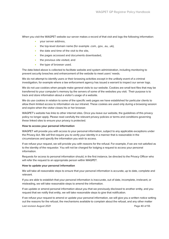When you visit the WAGPET website our server makes a record of that visit and logs the following information:

- your server address,
- the top-level domain name (for example .com, .gov, .au, .uk),
- the date and time of the visit to the site,
- the pages accessed and documents downloaded,
- the previous site visited, and
- the type of browser used.

The data listed above is collected to facilitate website and system administration, including monitoring to prevent security breaches and enhancement of the website to meet users' needs.

We do not attempt to identify users or their browsing activities except in the unlikely event of a criminal investigation, for example where a law enforcement agency has issued a warrant to inspect our server logs.

We do not use cookies when people make general visits to our website. Cookies are small text files that may be transferred to your computer's memory by the servers of some of the websites you visit. Their purpose is to track and store information about a visitor's usage of a website.

We do use cookies in relation to some of the specific web pages we have established for particular clients to allow them limited access to information via our intranet. These cookies are used only during a browsing session and expire when the visitor closes his or her browser.

WAGPET's website has links to other internet sites. Once you leave our website, the guidelines of this privacy policy no longer apply. Please read carefully the relevant privacy policies or terms and conditions governing these linked sites to ensure your privacy is protected.

#### **How to access your personal information**

WAGPET will provide you with access to your personal information, subject to any applicable exceptions under the Privacy Act. We will first require you to verify your identity in a manner that is reasonable in the circumstances and specify the information you wish to access.

If we refuse your request, we will provide you with reasons for the refusal. For example, if we are not satisfied as to the identity of the requestor. You will not be charged for lodging a request to access your personal information.

Requests for access to personal information should, in the first instance, be directed to th[e Privacy Officer](mailto:privacyofficer@wagpet.com.au) who will refer the request to an appropriate person within WAGPET.

#### **How to update your personal information**

We will take all reasonable steps to ensure that your personal information is accurate, up to date, complete and relevant.

If you are able to establish that your personal information is inaccurate, out of date, incomplete, irrelevant, or misleading, we will take reasonable steps to amend the information.

If we update or amend personal information about you that we previously disclosed to another entity, and you request that we notify that entity, we will take reasonable steps to give that notification.

If we refuse your request to amend or update your personal information, we will give you a written notice setting out the reasons for the refusal, the mechanisms available to complain about the refusal, and any other matter

Last revision August 2021 Page 40 of 55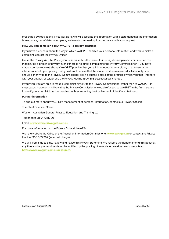prescribed by regulations. If you ask us to, we will associate the information with a statement that the information is inaccurate, out of date, incomplete, irrelevant or misleading in accordance with your request.

#### **How you can complain about WAGPET's privacy practises**

If you have a concern about the way in which WAGPET handles your personal information and wish to make a complaint, contact th[e Privacy Officer.](mailto:privacyofficer@wagpet.com.au)

Under the Privacy Act, the Privacy Commissioner has the power to investigate complaints or acts or practises that may be a breach of privacy even if there is no direct complaint to the Privacy Commissioner. If you have made a complaint to us about a WAGPET practice that you think amounts to an arbitrary or unreasonable interference with your privacy, and you do not believe that the matter has been resolved satisfactorily, you should either write to the Privacy Commissioner setting out the details of the practises which you think interfere with your privacy, or telephone the Privacy Hotline 1300 363 992 (local call charge).

If you wish, you are able to make a complaint directly to the Privacy Commissioner rather than to WAGPET. In most cases, however, it is likely that the Privacy Commissioner would refer you to WAGPET in the first instance to see if your complaint can be resolved without requiring the involvement of the Commissioner.

#### **Further information**

To find out more about WAGPET's management of personal information, contact our [Privacy Officer:](mailto:privacyofficer@wagpet.com.au)

The Chief Financial Officer

Western Australian General Practice Education and Training Ltd

Telephone: 08 9473 8200

Email: **[privacyofficer@wagpet.com.au](mailto:privacyofficer@wagpet.com.au)**

For more information on the Privacy Act and the APPs:

Visit the website the Office of the Australian Information Commissioner **[www.oaic.gov.au](http://www.oaic.gov.au/)** or contact the Privacy Hotline 1300 363 992 (local call charge).

We will, from time to time, review and revise this Privacy Statement. We reserve the right to amend this policy at any time and any amendments will be notified by the posting of an updated version on our website at: **[https://www.wagpet.com.au/resources.](https://www.wagpet.com.au/resources)**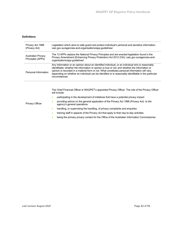#### **Definitions**

| Privacy Act 1988<br>(Privacy Act)              | Legislation which aims to safe guard and protect individual's personal and sensitive information:<br>oaic.gov.au/agencies-and-organisations/app-guidelines/                                                                                                                                                                                                                                                                      |
|------------------------------------------------|----------------------------------------------------------------------------------------------------------------------------------------------------------------------------------------------------------------------------------------------------------------------------------------------------------------------------------------------------------------------------------------------------------------------------------|
| <b>Australian Privacy</b><br>Principles (APPs) | The 13 APPs replace the National Privacy Principles and are enacted legislation found in the<br>Privacy Amendment (Enhancing Privacy Protection) Act 2012 (Cth): oaic.gov.au/agencies-and-<br>organisations/app-quidelines/                                                                                                                                                                                                      |
| Personal Information                           | Any information or an opinion about an identified individual, or an individual who is reasonably<br>identifiable; whether the information or opinion is true or not; and whether the information or<br>opinion is recorded in a material form or not. What constitutes personal information will vary,<br>depending on whether an individual can be identified or is reasonably identifiable in the particular<br>circumstances. |
|                                                |                                                                                                                                                                                                                                                                                                                                                                                                                                  |
| <b>Privacy Officer</b>                         | The Chief Financial Officer is WAGPET's appointed Privacy Officer. The role of the Privacy Officer<br>will include:                                                                                                                                                                                                                                                                                                              |
|                                                | participating in the development of initiatives that have a potential privacy impact<br>۰                                                                                                                                                                                                                                                                                                                                        |
|                                                | providing advice on the general application of the Privacy Act 1988 (Privacy Act) to the<br>۰<br>agency's general operations                                                                                                                                                                                                                                                                                                     |
|                                                | handling, or supervising the handling, of privacy complaints and enquiries<br>۰                                                                                                                                                                                                                                                                                                                                                  |
|                                                | training staff in aspects of the Privacy Act that apply to their day-to-day activities<br>۰                                                                                                                                                                                                                                                                                                                                      |
|                                                | being the primary privacy contact for the Office of the Australian Information Commissioner.                                                                                                                                                                                                                                                                                                                                     |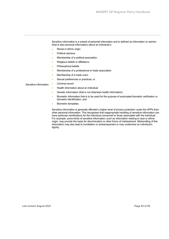Sensitive information is a subset of personal information and is defined as information or opinion (that is also personal information) about an individual's:

- Racial or ethnic origin
- Political opinions
- Membership of a political association
- Religious beliefs or affiliations
- Philosophical beliefs

Criminal record

- Membership of a professional or trade association
- Membership of a trade union
- Sexual preferences or practices; or

#### Sensitive Information

- Health information about an individual
- Genetic information (that is not otherwise health information)
- Biometric information that is to be used for the purpose of automated biometric verification or biometric identification, and
- Biometric templates.

Sensitive information is generally afforded a higher level of privacy protection under the APPs than other personal information. This recognises that inappropriate handling of sensitive information can have particular ramifications for the individual concerned or those associated with the individual. For example, some kinds of sensitive information, such as information relating to race or ethnic origin, may provide the basis for discrimination or other forms of mistreatment. Mishandling of this information may also lead to humiliation or embarrassment or may undermine an individual's dignity.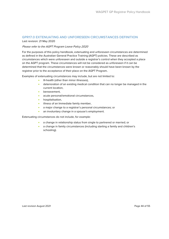### <span id="page-44-0"></span>**GPR17.0 EXTENUATING AND UNFORESEEN CIRCUMSTANCES DEFINITION**

Last revision: 21 May 2020

#### Please refer to the AGPT Program Leave Policy 2020

For the purposes of this policy handbook, extenuating and unforeseen circumstances are determined as defined in the Australian General Practice Training (AGPT) policies. These are described as circumstances which were unforeseen and outside a registrar's control when they accepted a place on the AGPT program. These circumstances will not be considered as unforeseen if it can be determined that the circumstances were known or reasonably should have been known by the registrar prior to the acceptance of their place on the AGPT Program.

Examples of extenuating circumstances may include, but are not limited to:

- Ill-health (other than minor illnesses).
- deterioration of an existing medical condition that can no longer be managed in the current location,
- bereavement,
- acute personal/emotional circumstances,
- hospitalisation,
- illness of an Immediate family member,
- a major change to a registrar's personal circumstances; or
- an involuntary change in a spouse's employment.

Extenuating circumstances do not include, for example:

- a change in relationship status from single to partnered or married; or
- a change in family circumstances (including starting a family and children's schooling).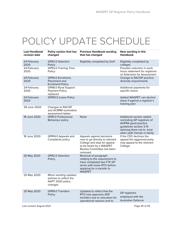# <span id="page-45-0"></span>POLICY UPDATE SCHEDULE

| <b>Last Handbook</b><br>revision date | <b>Policy section that has</b><br>changed                                       | <b>Previous Handbook wording</b><br>that has changed                                                                                                             | New wording in this<br><b>Handbook</b>                                                                                                                                   |
|---------------------------------------|---------------------------------------------------------------------------------|------------------------------------------------------------------------------------------------------------------------------------------------------------------|--------------------------------------------------------------------------------------------------------------------------------------------------------------------------|
| 24 February<br>2020                   | <b>GPR2.0 Selection</b><br>Policy                                               | Eligibility completed by DoH                                                                                                                                     | Eligibility completed by<br>colleges                                                                                                                                     |
| 24 February<br>2020                   | <b>GPR3.0 Training Time</b><br>Policy                                           |                                                                                                                                                                  | Possible reduction in work<br>hours statement for registrars<br>on Extension for Assessment                                                                              |
| 24 February<br>2020                   | GPR4.0 Enrolment,<br>Placement and<br><b>Enrolment Policy</b>                   |                                                                                                                                                                  | Change to RACGP practice<br>diversity requirements                                                                                                                       |
| 24 February<br>2020                   | <b>GPR8.0 Rural Support</b><br>Payment Policy<br>replaced                       |                                                                                                                                                                  | Additional payments for<br>specific towns                                                                                                                                |
| 24 February<br>2020                   | GPR10.0 Leave Policy                                                            |                                                                                                                                                                  | Added WAGPET can decline<br>leave if against a registrar's<br>training plan                                                                                              |
| 29 June 2020                          | Changes to RACGP<br>and ACRRM summative<br>assessment tables                    |                                                                                                                                                                  |                                                                                                                                                                          |
| 18 June 2020                          | <b>GPR1.0 Professional</b><br>Behaviour policy                                  | None                                                                                                                                                             | Additional section added<br>reminding GP registrars of<br>AHPRA good practice<br>guidelines section 3.14<br>advising them not to treat<br>other staff, friends or family |
| 18 June 2020                          | GPR14.0 Appeals and<br>Complaints policy                                        | Appeals against decisions<br>now to go directly to relevant<br>College and step for appeal<br>to be heard by a WAGPET<br>Review Committee has been<br>removed.   | If the CEO declines the<br>appeal the aggrieved party<br>may appeal to the relevant<br>College.                                                                          |
| 25 May 2020                           | <b>GPR2.0 Selection</b><br>Policy                                               | Removal of paragraph<br>relating to the requirement to<br>have completed two FTE GP<br>terms with home RTO before<br>applying for a transfer to<br><b>WAGPET</b> |                                                                                                                                                                          |
| 20 May 2020                           | Minor wording updates<br>policies to reflect the<br>AGPT 2020 policy<br>changes |                                                                                                                                                                  |                                                                                                                                                                          |
| 20 May 2020                           | <b>GPR9.0 Transfers</b><br>Policy                                               | Updated to reflect that the<br>RTO now approves ADF<br>transfers due to relocation for<br>operational reasons and to                                             | <b>GP</b> registrars<br>employed with the<br><b>Australian Defence</b>                                                                                                   |

Last revision August 2021 and the contract of the contract of the Page 45 of 55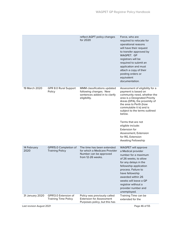|                     |                                                     | reflect AGPT policy changes<br>for 2020                                                                    | Force, who are<br>required to relocate for<br>operational reasons<br>will have their request<br>to transfer approved by<br>WAGPET. GP<br>registrars will be<br>required to submit an<br>application and must<br>attach a copy of their<br>posting orders or<br>equivalent<br>documentation.                                                                                                             |
|---------------------|-----------------------------------------------------|------------------------------------------------------------------------------------------------------------|---------------------------------------------------------------------------------------------------------------------------------------------------------------------------------------------------------------------------------------------------------------------------------------------------------------------------------------------------------------------------------------------------------|
| 19 March 2020       | GPR 8.0 Rural Support<br>Policy                     | MMM classifications updated<br>following changes. New<br>sentences added in to clarify<br>eligibility.     | Assessment of eligibility for a<br>payment is based on<br>community need, whether the<br>area is a Designated Priority<br>Areas (DPA), the proximity of<br>the area to Perth (how<br>commutable it is) and is<br>subject to the terms outlined<br>below.<br>Terms that are not<br>eligible include:<br><b>Extension for</b><br>Assessment, Extension<br>for RG, Extension<br><b>Awaiting Fellowship</b> |
| 14 February<br>2020 | GPR15.0 Completion of<br><b>Training Policy</b>     | The time has been extended<br>for which a Medicare Provider<br>Number can be approved<br>from 12-26 weeks. | <b>WAGPET</b> will approve<br>a Medical provider<br>number for a maximum<br>of 26 weeks, to allow<br>for any delays in the<br>fellowship application<br>process. Failure to<br>have fellowship<br>awarded within 26<br>weeks will leave a GP<br>registrar without a<br>provider number and<br>unemployed.                                                                                               |
| 31 January 2020     | GPR13.0 Extension of<br><b>Training Time Policy</b> | Policy was previously called<br><b>Extension for Assessment</b><br>Purposes policy, but this has           | Training Time can be<br>extended for the                                                                                                                                                                                                                                                                                                                                                                |

Last revision August 2021 and the contract of the contract of the Page 46 of 55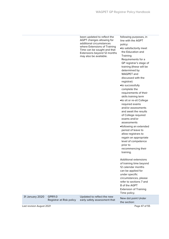been updated to reflect the AGPT changes allowing for additional circumstances where Extensions of Training Time can be sought and that Extensions beyond 12 months may also be available.

following purposes, in line with the AGPT policy:

- •to satisfactorily meet the Education and **Training** Requirements for a GP registrar's stage of training (these will be determined by WAGPET and discussed with the registrar)
- •to successfully complete the requirements of their skills training term
- •to sit or re-sit College required exams and/or assessments and await the results of College required exams and/or assessments
- •following an extended period of leave to allow registrars to regain an appropriate level of competence prior to recommencing their training.

Additional extensions of training time beyond 12 calendar months can be applied for under specific circumstances, please refer to sections 7 and 8 of the AGPT Extension of Training Time policy.

the section:

31 January 2020 GPR11.0

Registrar at Risk policy

Updated to reflect the new early safety assessment that New dot point Under

Last revision August 2021 **Page 47 of 55**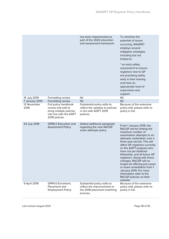|                     |                                                                                                                   | has been implemented as<br>part of the 2020 education<br>and assessment framework.                    | To minimise the<br>potential of issues<br>occurring, WAGPET<br>employs several<br>mitigation strategies<br>including but not<br>limited to:                                                                                                                                                                                                                                                                                                                                                                           |
|---------------------|-------------------------------------------------------------------------------------------------------------------|-------------------------------------------------------------------------------------------------------|-----------------------------------------------------------------------------------------------------------------------------------------------------------------------------------------------------------------------------------------------------------------------------------------------------------------------------------------------------------------------------------------------------------------------------------------------------------------------------------------------------------------------|
|                     |                                                                                                                   |                                                                                                       | * an early safety<br>assessment to ensure<br>registrars new to GP<br>are practising safely<br>early in their training<br>and have an<br>appropriate level of<br>supervision and<br>support.                                                                                                                                                                                                                                                                                                                           |
| 15 July 2019        | Formatting review                                                                                                 | Nil                                                                                                   | <b>NII</b>                                                                                                                                                                                                                                                                                                                                                                                                                                                                                                            |
| 7 January 2019      | Formatting review                                                                                                 | <b>Nil</b>                                                                                            | Nil                                                                                                                                                                                                                                                                                                                                                                                                                                                                                                                   |
| 12 November<br>2018 | Full policy handbook<br>review and edit to<br>bring multiple policies<br>into line with the AGPT<br>2019 policies | Substantial policy edits to<br>reflect the updates to policies<br>in line with AGPT 2019<br>policies. | Because of the extensive<br>policy edit, please refer to<br>policy in full.                                                                                                                                                                                                                                                                                                                                                                                                                                           |
| 24 July 2018        | GPR6.0 Education and<br><b>Assessment Policy</b>                                                                  | Added additional paragraph<br>regarding the new RACGP<br>exam attempts policy.                        | From 1 January 2019, the<br>RACGP will be limiting the<br>maximum number of<br>examination attempts to six<br>attempts undertaken over a<br>three year period. This will<br>affect GP registrars currently<br>on the AGPT program who<br>have not yet obtained<br>fellowship, and all future GP<br>registrars. Along with these<br>changes, RACGP will no<br>longer be offering just cause<br>or exam remediation from 1<br>January 2019. For more<br>information refer to the<br>RACGP policies on their<br>website. |
| 9 April 2018        | GPR4.0 Enrolment,<br>Placement and<br><b>Employment Policy</b>                                                    | Substantial policy edits to<br>reflect the improvements to<br>the 2018 placement matching<br>process. | Because of the extensive<br>policy edit, please refer to<br>policy in full.                                                                                                                                                                                                                                                                                                                                                                                                                                           |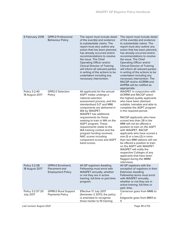| 6 February 2018                      | <b>GPR1.0 Professional</b><br><b>Behaviour Policy</b>          | The report must include detail<br>of the event(s) and evidence<br>to substantiate claims. The<br>report must also outline any<br>action that has been planned,<br>has already occurred and/or<br>recommendations to resolve<br>the issue. The Chief<br>Operating Officer and/or<br><b>Clinical Director of Training</b><br>will inform all relevant parties<br>in writing of the actions to be<br>undertaken including any<br>necessary intervention.                    | The report must include detail<br>of the event(s) and evidence<br>to substantiate claims. The<br>report must also outline any<br>action that has been planned,<br>has already occurred and/or<br>recommendations to resolve<br>the issue. The Chief<br>Operating Officer and/or<br><b>Clinical Director of Training</b><br>will inform all relevant parties<br>in writing of the actions to be<br>undertaken including any<br>necessary intervention. The<br>RACGP and/or ACRRM and<br>AHPRA will be notified as<br>appropriate.                                                                                                                              |
|--------------------------------------|----------------------------------------------------------------|--------------------------------------------------------------------------------------------------------------------------------------------------------------------------------------------------------------------------------------------------------------------------------------------------------------------------------------------------------------------------------------------------------------------------------------------------------------------------|---------------------------------------------------------------------------------------------------------------------------------------------------------------------------------------------------------------------------------------------------------------------------------------------------------------------------------------------------------------------------------------------------------------------------------------------------------------------------------------------------------------------------------------------------------------------------------------------------------------------------------------------------------------|
| Policy 3.2.40<br>18 August 2017      | GPR2.0 Selection<br>Policy                                     | All applicants for the annual<br>AGPT intake undergo a<br>national selection<br>assessment process, and the<br>standardised SJT and MMI<br>components are delivered in<br>WA by WAGPET.<br><b>WAGPET</b> has additional<br>requirements for those<br>seeking to train in WA on the<br>AGPT program. These<br>requirements relate to the<br>WA training context and the<br>program funding received.<br>NAC scores including<br>component scores and AGPT<br>band scores. | WAGPET in conjunction with<br><b>ACRRM and RACGP select</b><br>the highest quality applicants<br>who have been deemed<br>suitable, trainable and able to<br>complete the AGPT program<br>in the required period.<br>RACGP applicants who have<br>scored less than 28 in the<br>MMI will not be offered a<br>position to train on the AGPT<br>with WAGPET. RACGP<br>applicants who have scored a<br>one (1) or a two (2) in more<br>than two MMI stations will not<br>be offered a position to train<br>on the AGPT with WAGPET.<br>WAGPET will notify the<br>respective Colleges of any<br>applicants that have been<br>flagged during the MMM<br>interviews. |
| Policy 3.2.58<br>18 August 2017      | GPR4.0 Enrolment,<br>Placement and<br><b>Employment Policy</b> | All GP registrars Awaiting<br>Fellowship must enrol with<br>WAGPET annually, whether<br>or not they are in active<br>training, full-time or part-time<br>program.                                                                                                                                                                                                                                                                                                        | All GP registrars with the<br>exception of registrars in their<br><b>Extension Awaiting</b><br>Fellowship terms must enrol<br>with WAGPET annually,<br>whether or not they are in<br>active training, full-time or<br>part-time.                                                                                                                                                                                                                                                                                                                                                                                                                              |
| Policy 3.2.57 20<br><b>July 2017</b> | <b>GPR8.0 Rural Support</b><br><b>Payments Policy</b>          | Effective 17 July 2017<br>(Semester 2 2017), the policy<br>is amended to recognise<br>those harder to fill training                                                                                                                                                                                                                                                                                                                                                      | Carnarvon goes from MM6 to<br>7<br>Kalgoorlie goes from MM3 to<br>5                                                                                                                                                                                                                                                                                                                                                                                                                                                                                                                                                                                           |

Last revision August 2021 and the contract of the contract of the Page 49 of 55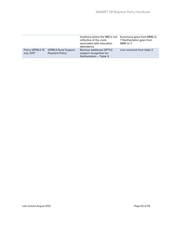|                                      |                                                      | locations where the MM is not Kununurra goes from MM6 to<br>reflective of the costs<br>associated with education<br>attendance. | 7 Northampton goes from<br>MM5 to 7 |
|--------------------------------------|------------------------------------------------------|---------------------------------------------------------------------------------------------------------------------------------|-------------------------------------|
| Policy GPR8.0 15<br><b>July 2017</b> | <b>GPR8.0 Rural Support</b><br><b>Payment Policy</b> | Remove additional GPT1/2<br>support recognition for<br>Northampton - Table 3                                                    | Line removed from table 3           |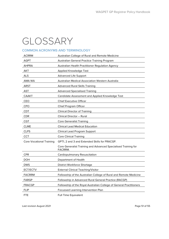# <span id="page-51-0"></span>GLOSSARY

# <span id="page-51-1"></span>**COMMON ACRONYMS AND TERMINOLOGY**

| <b>ACRRM</b>                    | Australian College of Rural and Remote Medicine                           |
|---------------------------------|---------------------------------------------------------------------------|
| AGPT                            | Australian General Practice Training Program                              |
| <b>AHPRA</b>                    | Australian Health Practitioner Regulation Agency                          |
| <b>AKT</b>                      | <b>Applied Knowledge Test</b>                                             |
| <b>ALS</b>                      | <b>Advanced Life Support</b>                                              |
| AMA WA                          | Australian Medical Association Western Australia                          |
| <b>ARST</b>                     | <b>Advanced Rural Skills Training</b>                                     |
| AST                             | <b>Advanced Specialised Training</b>                                      |
| <b>CAAKT</b>                    | Candidate Assessment and Applied Knowledge Test                           |
| CEO                             | <b>Chief Executive Officer</b>                                            |
| CPO                             | Chief Program Officer                                                     |
| CDT                             | <b>Clinical Director of Training</b>                                      |
| <b>CDR</b>                      | Clinical Director - Rural                                                 |
| <b>CGT</b>                      | <b>Core Generalist Training</b>                                           |
| <b>CLME</b>                     | <b>Clinical Lead Medical Education</b>                                    |
| <b>CLPS</b>                     | Clinical Lead Program Support                                             |
| CCT                             | <b>Core Clinical Training</b>                                             |
| <b>Core Vocational Training</b> | GPT1, 2 and 3 and Extended Skills for FRACGP.                             |
|                                 | Core Generalist Training and Advanced Specialised Training for<br>FACRRM. |
| <b>CPR</b>                      | Cardiopulmonary Resuscitation                                             |
| DOH                             | Department of Health                                                      |
| <b>DWS</b>                      | <b>District Workforce Shortage</b>                                        |
| ECT/ECTV                        | External Clinical Teaching/Visitor                                        |
| <b>FACRRM</b>                   | Fellowship of the Australian College of Rural and Remote Medicine         |
| <b>FARGP</b>                    | Fellowship in Advanced Rural General Practice (RACGP)                     |
| <b>FRACGP</b>                   | Fellowship of the Royal Australian College of General Practitioners       |
| <b>FLIP</b>                     | Focussed Learning Intervention Plan                                       |
| FTE                             | <b>Full Time Equivalent</b>                                               |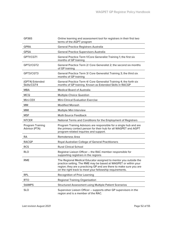| GP365                             | Online learning and assessment tool for registrars in their first two<br>terms of the AGPT program                                                                                                                                                                     |
|-----------------------------------|------------------------------------------------------------------------------------------------------------------------------------------------------------------------------------------------------------------------------------------------------------------------|
| <b>GPRA</b>                       | General Practice Registrars Australia                                                                                                                                                                                                                                  |
| <b>GPSA</b>                       | <b>General Practice Supervisors Australia</b>                                                                                                                                                                                                                          |
| GPT1/CGT1                         | General Practice Term 1/Core Generalist Training 1; the first six<br>months of GP training                                                                                                                                                                             |
| GPT2/CGT2                         | General Practice Term 2/ Core Generalist 2; the second six months<br>of GP training                                                                                                                                                                                    |
| GPT3/CGT3                         | General Practice Term 3/ Core Generalist Training 3; the third six<br>months of GP training                                                                                                                                                                            |
| (GPT4) Extended<br>Skills/CGT4    | General Practice Term 4/ Core Generalist Training 4; the forth six<br>months of GP training. Known as Extended Skills in RACGP                                                                                                                                         |
| <b>MBA</b>                        | <b>Medical Board of Australia</b>                                                                                                                                                                                                                                      |
| <b>MCQ</b>                        | Multiple-Choice Question                                                                                                                                                                                                                                               |
| Mini-CEX                          | Mini-Clinical Evaluation Exercise                                                                                                                                                                                                                                      |
| МM                                | <b>Modified Monash</b>                                                                                                                                                                                                                                                 |
| MMI                               | Multiple Mini Interview                                                                                                                                                                                                                                                |
| <b>MSF</b>                        | Multi-Source Feedback                                                                                                                                                                                                                                                  |
| <b>NTCER</b>                      | National Terms and Conditions for the Employment of Registrars                                                                                                                                                                                                         |
| Program Training<br>Advisor (PTA) | Program Training Advisors are responsible for a single hub and are<br>the primary contact person for their hub for all WAGPET and AGPT<br>program-related inquiries and support.                                                                                       |
| RA.                               | Remoteness Area                                                                                                                                                                                                                                                        |
| <b>RACGP</b>                      | Royal Australian College of General Practitioners                                                                                                                                                                                                                      |
| <b>RCS</b>                        | <b>Rural Clinical School</b>                                                                                                                                                                                                                                           |
| <b>RLO</b>                        | Registrar Liaison Officer - the RAC member responsible for<br>supporting registrars in the regions                                                                                                                                                                     |
| <b>RME</b>                        | The Regional Medical Educator assigned to mentor you outside the<br>practice setting. The RME may be based at WAGPET or within your<br>region; they are a practicing GP and are there to make sure you are<br>on the right track to meet your fellowship requirements. |
| <b>RPL</b>                        | Recognition of Prior Learning                                                                                                                                                                                                                                          |
| <b>RTO</b>                        | <b>Regional Training Organisation</b>                                                                                                                                                                                                                                  |
| <b>StAMPS</b>                     | Structured Assessment using Multiple Patient Scenarios                                                                                                                                                                                                                 |
| <b>SLO</b>                        | Supervisor Liaison Officer - supports other GP supervisors in the<br>region and is a member of the RAC.                                                                                                                                                                |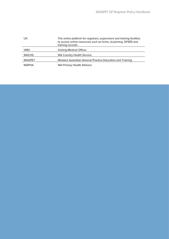| UX            | The online platform for registrars, supervisors and training facilities<br>to access online resources such as forms, eLearning, GP365 and<br>training records. |
|---------------|----------------------------------------------------------------------------------------------------------------------------------------------------------------|
| VMO           | Visiting Medical Officer                                                                                                                                       |
| <b>WACHS</b>  | <b>WA Country Health Service</b>                                                                                                                               |
| <b>WAGPET</b> | Western Australian General Practice Education and Training                                                                                                     |
| <b>WAPHA</b>  | <b>WA Primary Health Alliance</b>                                                                                                                              |